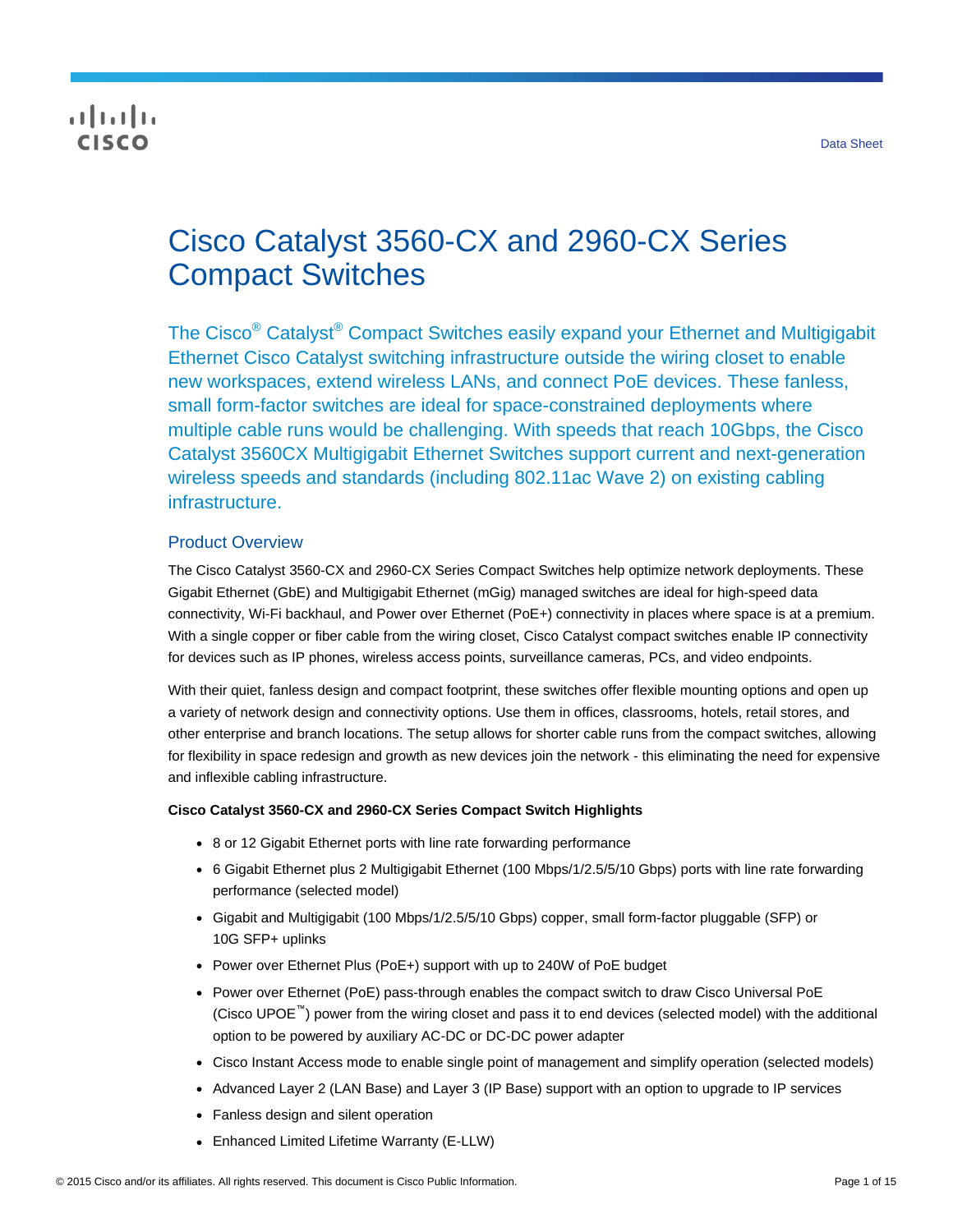## $\frac{1}{2}$ **CISCO**

# Cisco Catalyst 3560-CX and 2960-CX Series Compact Switches

The Cisco<sup>®</sup> Catalyst<sup>®</sup> Compact Switches easily expand your Ethernet and Multigigabit Ethernet Cisco Catalyst switching infrastructure outside the wiring closet to enable new workspaces, extend wireless LANs, and connect PoE devices. These fanless, small form-factor switches are ideal for space-constrained deployments where multiple cable runs would be challenging. With speeds that reach 10Gbps, the Cisco Catalyst 3560CX Multigigabit Ethernet Switches support current and next-generation wireless speeds and standards (including 802.11ac Wave 2) on existing cabling infrastructure.

## Product Overview

The Cisco Catalyst 3560-CX and 2960-CX Series Compact Switches help optimize network deployments. These Gigabit Ethernet (GbE) and Multigigabit Ethernet (mGig) managed switches are ideal for high-speed data connectivity, Wi-Fi backhaul, and Power over Ethernet (PoE+) connectivity in places where space is at a premium. With a single copper or fiber cable from the wiring closet, Cisco Catalyst compact switches enable IP connectivity for devices such as IP phones, wireless access points, surveillance cameras, PCs, and video endpoints.

With their quiet, fanless design and compact footprint, these switches offer flexible mounting options and open up a variety of network design and connectivity options. Use them in offices, classrooms, hotels, retail stores, and other enterprise and branch locations. The setup allows for shorter cable runs from the compact switches, allowing for flexibility in space redesign and growth as new devices join the network - this eliminating the need for expensive and inflexible cabling infrastructure.

#### **Cisco Catalyst 3560-CX and 2960-CX Series Compact Switch Highlights**

- 8 or 12 Gigabit Ethernet ports with line rate forwarding performance
- 6 Gigabit Ethernet plus 2 Multigigabit Ethernet (100 Mbps/1/2.5/5/10 Gbps) ports with line rate forwarding performance (selected model)
- Gigabit and Multigigabit (100 Mbps/1/2.5/5/10 Gbps) copper, small form-factor pluggable (SFP) or 10G SFP+ uplinks
- Power over Ethernet Plus (PoE+) support with up to 240W of PoE budget
- Power over Ethernet (PoE) pass-through enables the compact switch to draw Cisco Universal PoE (Cisco UPOE™) power from the wiring closet and pass it to end devices (selected model) with the additional option to be powered by auxiliary AC-DC or DC-DC power adapter
- Cisco Instant Access mode to enable single point of management and simplify operation (selected models)
- Advanced Layer 2 (LAN Base) and Layer 3 (IP Base) support with an option to upgrade to IP services
- Fanless design and silent operation
- Enhanced Limited Lifetime Warranty (E-LLW)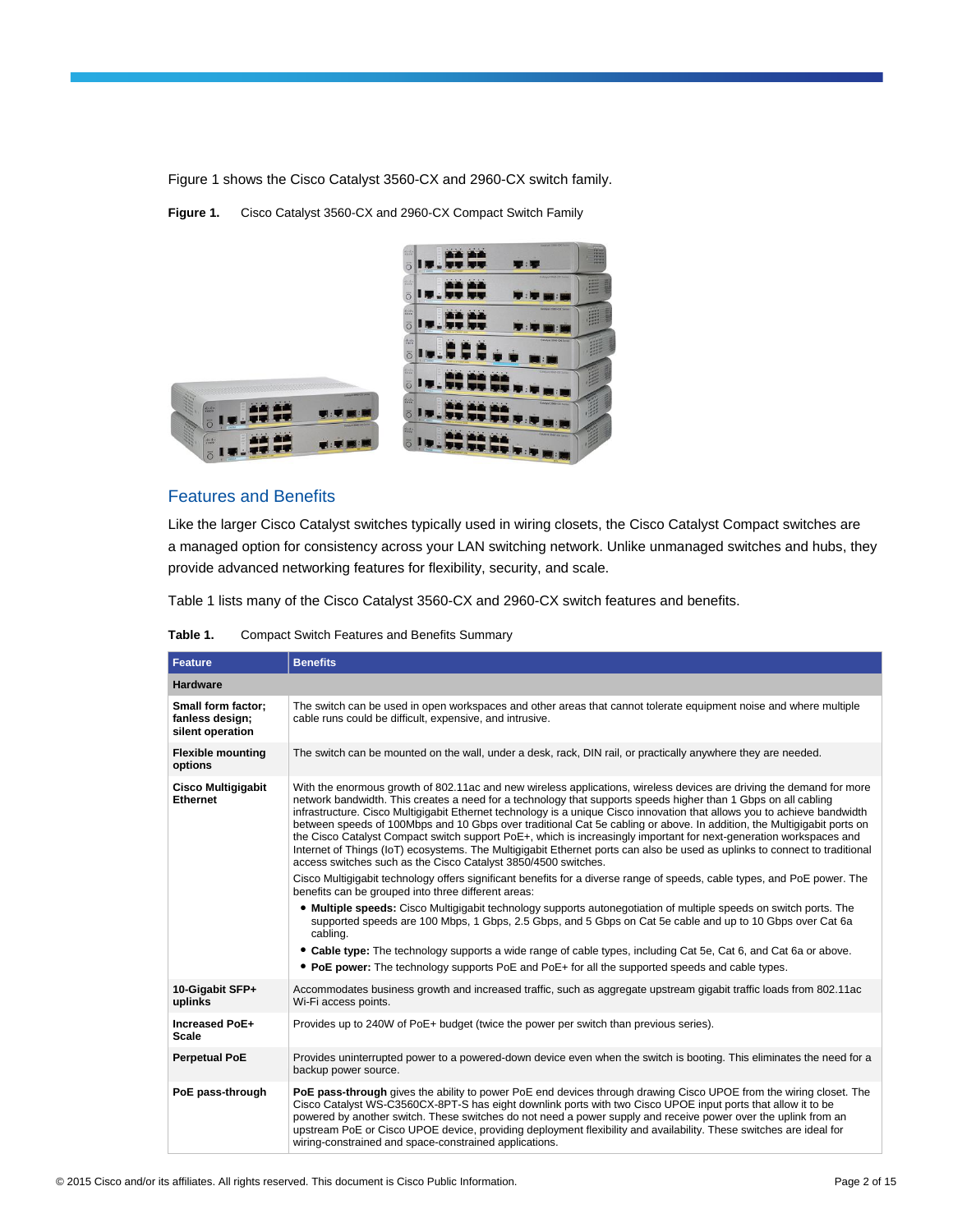Figure 1 shows the Cisco Catalyst 3560-CX and 2960-CX switch family.

**Figure 1.** Cisco Catalyst 3560-CX and 2960-CX Compact Switch Family



### Features and Benefits

Like the larger Cisco Catalyst switches typically used in wiring closets, the Cisco Catalyst Compact switches are a managed option for consistency across your LAN switching network. Unlike unmanaged switches and hubs, they provide advanced networking features for flexibility, security, and scale.

Table 1 lists many of the Cisco Catalyst 3560-CX and 2960-CX switch features and benefits.

| Table 1.<br><b>Compact Switch Features and Benefits Summary</b> |
|-----------------------------------------------------------------|
|-----------------------------------------------------------------|

| <b>Feature</b>                                            | <b>Benefits</b>                                                                                                                                                                                                                                                                                                                                                                                                                                                                                                                                                                                                                                                                                                                                                                                                    |
|-----------------------------------------------------------|--------------------------------------------------------------------------------------------------------------------------------------------------------------------------------------------------------------------------------------------------------------------------------------------------------------------------------------------------------------------------------------------------------------------------------------------------------------------------------------------------------------------------------------------------------------------------------------------------------------------------------------------------------------------------------------------------------------------------------------------------------------------------------------------------------------------|
| <b>Hardware</b>                                           |                                                                                                                                                                                                                                                                                                                                                                                                                                                                                                                                                                                                                                                                                                                                                                                                                    |
| Small form factor;<br>fanless design;<br>silent operation | The switch can be used in open workspaces and other areas that cannot tolerate equipment noise and where multiple<br>cable runs could be difficult, expensive, and intrusive.                                                                                                                                                                                                                                                                                                                                                                                                                                                                                                                                                                                                                                      |
| <b>Flexible mounting</b><br>options                       | The switch can be mounted on the wall, under a desk, rack, DIN rail, or practically anywhere they are needed.                                                                                                                                                                                                                                                                                                                                                                                                                                                                                                                                                                                                                                                                                                      |
| <b>Cisco Multigigabit</b><br><b>Ethernet</b>              | With the enormous growth of 802.11ac and new wireless applications, wireless devices are driving the demand for more<br>network bandwidth. This creates a need for a technology that supports speeds higher than 1 Gbps on all cabling<br>infrastructure. Cisco Multigigabit Ethernet technology is a unique Cisco innovation that allows you to achieve bandwidth<br>between speeds of 100Mbps and 10 Gbps over traditional Cat 5e cabling or above. In addition, the Multigigabit ports on<br>the Cisco Catalyst Compact switch support PoE+, which is increasingly important for next-generation workspaces and<br>Internet of Things (IoT) ecosystems. The Multigigabit Ethernet ports can also be used as uplinks to connect to traditional<br>access switches such as the Cisco Catalyst 3850/4500 switches. |
|                                                           | Cisco Multigigabit technology offers significant benefits for a diverse range of speeds, cable types, and PoE power. The<br>benefits can be grouped into three different areas:                                                                                                                                                                                                                                                                                                                                                                                                                                                                                                                                                                                                                                    |
|                                                           | • Multiple speeds: Cisco Multigigabit technology supports autonegotiation of multiple speeds on switch ports. The<br>supported speeds are 100 Mbps, 1 Gbps, 2.5 Gbps, and 5 Gbps on Cat 5e cable and up to 10 Gbps over Cat 6a<br>cabling.                                                                                                                                                                                                                                                                                                                                                                                                                                                                                                                                                                         |
|                                                           | • Cable type: The technology supports a wide range of cable types, including Cat 5e, Cat 6, and Cat 6a or above.<br>• PoE power: The technology supports PoE and PoE+ for all the supported speeds and cable types.                                                                                                                                                                                                                                                                                                                                                                                                                                                                                                                                                                                                |
| 10-Gigabit SFP+<br>uplinks                                | Accommodates business growth and increased traffic, such as aggregate upstream gigabit traffic loads from 802.11ac<br>Wi-Fi access points.                                                                                                                                                                                                                                                                                                                                                                                                                                                                                                                                                                                                                                                                         |
| Increased PoE+<br><b>Scale</b>                            | Provides up to 240W of PoE+ budget (twice the power per switch than previous series).                                                                                                                                                                                                                                                                                                                                                                                                                                                                                                                                                                                                                                                                                                                              |
| <b>Perpetual PoE</b>                                      | Provides uninterrupted power to a powered-down device even when the switch is booting. This eliminates the need for a<br>backup power source.                                                                                                                                                                                                                                                                                                                                                                                                                                                                                                                                                                                                                                                                      |
| PoE pass-through                                          | PoE pass-through gives the ability to power PoE end devices through drawing Cisco UPOE from the wiring closet. The<br>Cisco Catalyst WS-C3560CX-8PT-S has eight downlink ports with two Cisco UPOE input ports that allow it to be<br>powered by another switch. These switches do not need a power supply and receive power over the uplink from an<br>upstream PoE or Cisco UPOE device, providing deployment flexibility and availability. These switches are ideal for<br>wiring-constrained and space-constrained applications.                                                                                                                                                                                                                                                                               |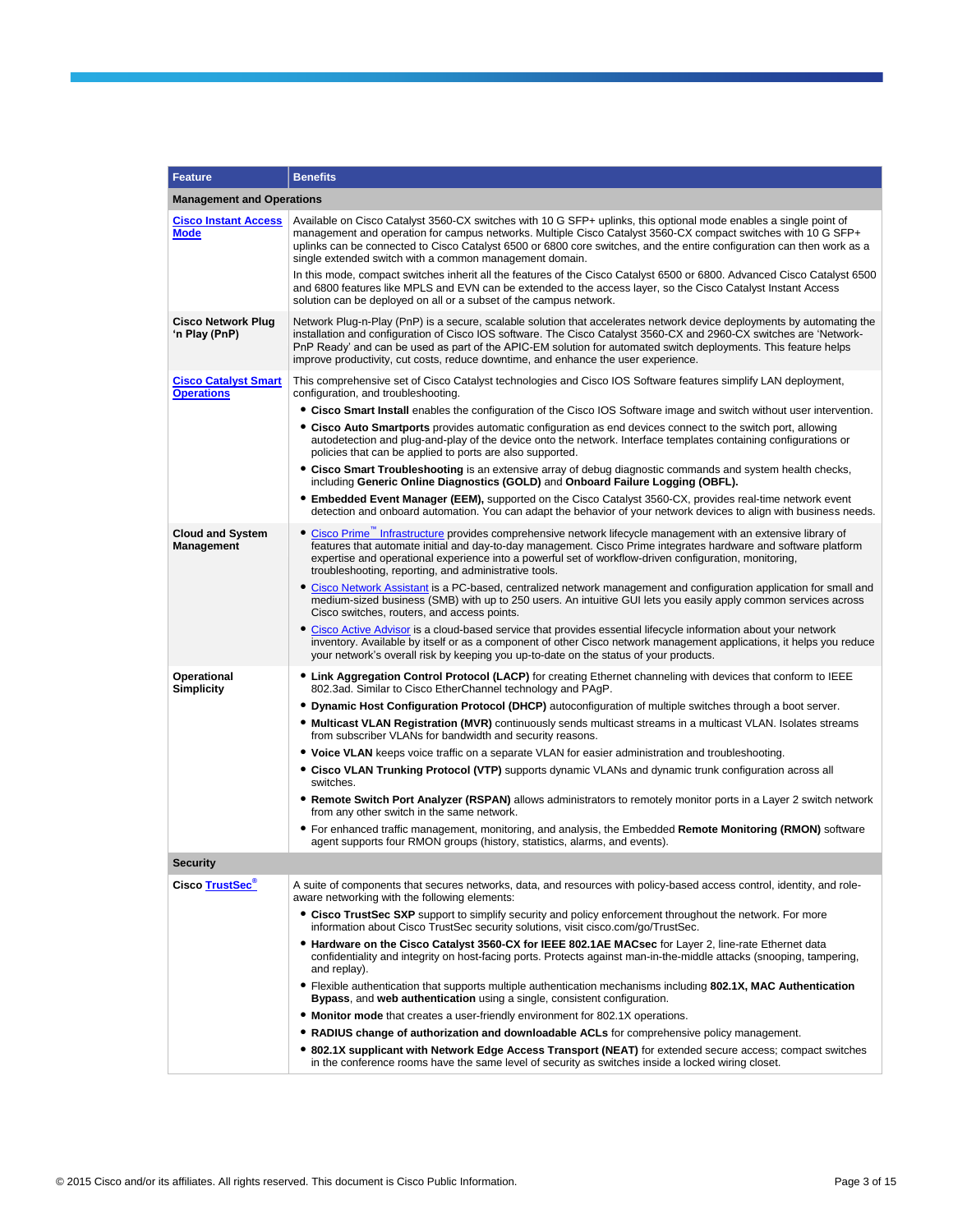| Feature                                          | <b>Benefits</b>                                                                                                                                                                                                                                                                                                                                                                                                                                        |
|--------------------------------------------------|--------------------------------------------------------------------------------------------------------------------------------------------------------------------------------------------------------------------------------------------------------------------------------------------------------------------------------------------------------------------------------------------------------------------------------------------------------|
| <b>Management and Operations</b>                 |                                                                                                                                                                                                                                                                                                                                                                                                                                                        |
| <b>Cisco Instant Access</b><br>Mode              | Available on Cisco Catalyst 3560-CX switches with 10 G SFP+ uplinks, this optional mode enables a single point of<br>management and operation for campus networks. Multiple Cisco Catalyst 3560-CX compact switches with 10 G SFP+<br>uplinks can be connected to Cisco Catalyst 6500 or 6800 core switches, and the entire configuration can then work as a<br>single extended switch with a common management domain.                                |
|                                                  | In this mode, compact switches inherit all the features of the Cisco Catalyst 6500 or 6800. Advanced Cisco Catalyst 6500<br>and 6800 features like MPLS and EVN can be extended to the access layer, so the Cisco Catalyst Instant Access<br>solution can be deployed on all or a subset of the campus network.                                                                                                                                        |
| <b>Cisco Network Plug</b><br>'n Play (PnP)       | Network Plug-n-Play (PnP) is a secure, scalable solution that accelerates network device deployments by automating the<br>installation and configuration of Cisco IOS software. The Cisco Catalyst 3560-CX and 2960-CX switches are 'Network-<br>PnP Ready' and can be used as part of the APIC-EM solution for automated switch deployments. This feature helps<br>improve productivity, cut costs, reduce downtime, and enhance the user experience. |
| <b>Cisco Catalyst Smart</b><br><b>Operations</b> | This comprehensive set of Cisco Catalyst technologies and Cisco IOS Software features simplify LAN deployment,<br>configuration, and troubleshooting.                                                                                                                                                                                                                                                                                                  |
|                                                  | • Cisco Smart Install enables the configuration of the Cisco IOS Software image and switch without user intervention.                                                                                                                                                                                                                                                                                                                                  |
|                                                  | • Cisco Auto Smartports provides automatic configuration as end devices connect to the switch port, allowing<br>autodetection and plug-and-play of the device onto the network. Interface templates containing configurations or<br>policies that can be applied to ports are also supported.                                                                                                                                                          |
|                                                  | • Cisco Smart Troubleshooting is an extensive array of debug diagnostic commands and system health checks,<br>including Generic Online Diagnostics (GOLD) and Onboard Failure Logging (OBFL).                                                                                                                                                                                                                                                          |
|                                                  | • Embedded Event Manager (EEM), supported on the Cisco Catalyst 3560-CX, provides real-time network event<br>detection and onboard automation. You can adapt the behavior of your network devices to align with business needs.                                                                                                                                                                                                                        |
| <b>Cloud and System</b><br><b>Management</b>     | • Cisco Prime" Infrastructure provides comprehensive network lifecycle management with an extensive library of<br>features that automate initial and day-to-day management. Cisco Prime integrates hardware and software platform<br>expertise and operational experience into a powerful set of workflow-driven configuration, monitoring,<br>troubleshooting, reporting, and administrative tools.                                                   |
|                                                  | • Cisco Network Assistant is a PC-based, centralized network management and configuration application for small and<br>medium-sized business (SMB) with up to 250 users. An intuitive GUI lets you easily apply common services across<br>Cisco switches, routers, and access points.                                                                                                                                                                  |
|                                                  | • Cisco Active Advisor is a cloud-based service that provides essential lifecycle information about your network<br>inventory. Available by itself or as a component of other Cisco network management applications, it helps you reduce<br>your network's overall risk by keeping you up-to-date on the status of your products.                                                                                                                      |
| Operational<br><b>Simplicity</b>                 | • Link Aggregation Control Protocol (LACP) for creating Ethernet channeling with devices that conform to IEEE<br>802.3ad. Similar to Cisco EtherChannel technology and PAgP.                                                                                                                                                                                                                                                                           |
|                                                  | . Dynamic Host Configuration Protocol (DHCP) autoconfiguration of multiple switches through a boot server.                                                                                                                                                                                                                                                                                                                                             |
|                                                  | • Multicast VLAN Registration (MVR) continuously sends multicast streams in a multicast VLAN. Isolates streams<br>from subscriber VLANs for bandwidth and security reasons.                                                                                                                                                                                                                                                                            |
|                                                  | • Voice VLAN keeps voice traffic on a separate VLAN for easier administration and troubleshooting.                                                                                                                                                                                                                                                                                                                                                     |
|                                                  | • Cisco VLAN Trunking Protocol (VTP) supports dynamic VLANs and dynamic trunk configuration across all<br>switches.                                                                                                                                                                                                                                                                                                                                    |
|                                                  | • Remote Switch Port Analyzer (RSPAN) allows administrators to remotely monitor ports in a Layer 2 switch network<br>from any other switch in the same network.                                                                                                                                                                                                                                                                                        |
|                                                  | • For enhanced traffic management, monitoring, and analysis, the Embedded Remote Monitoring (RMON) software<br>agent supports four RMON groups (history, statistics, alarms, and events).                                                                                                                                                                                                                                                              |
| Security                                         |                                                                                                                                                                                                                                                                                                                                                                                                                                                        |
| Cisco TrustSec <sup>®</sup>                      | A suite of components that secures networks, data, and resources with policy-based access control, identity, and role-<br>aware networking with the following elements:                                                                                                                                                                                                                                                                                |
|                                                  | • Cisco TrustSec SXP support to simplify security and policy enforcement throughout the network. For more<br>information about Cisco TrustSec security solutions, visit cisco.com/go/TrustSec.                                                                                                                                                                                                                                                         |
|                                                  | • Hardware on the Cisco Catalyst 3560-CX for IEEE 802.1AE MACsec for Layer 2, line-rate Ethernet data<br>confidentiality and integrity on host-facing ports. Protects against man-in-the-middle attacks (snooping, tampering,<br>and replay).                                                                                                                                                                                                          |
|                                                  | • Flexible authentication that supports multiple authentication mechanisms including 802.1X, MAC Authentication<br>Bypass, and web authentication using a single, consistent configuration.                                                                                                                                                                                                                                                            |
|                                                  | • Monitor mode that creates a user-friendly environment for 802.1X operations.                                                                                                                                                                                                                                                                                                                                                                         |
|                                                  | • RADIUS change of authorization and downloadable ACLs for comprehensive policy management.                                                                                                                                                                                                                                                                                                                                                            |
|                                                  | • 802.1X supplicant with Network Edge Access Transport (NEAT) for extended secure access; compact switches<br>in the conference rooms have the same level of security as switches inside a locked wiring closet.                                                                                                                                                                                                                                       |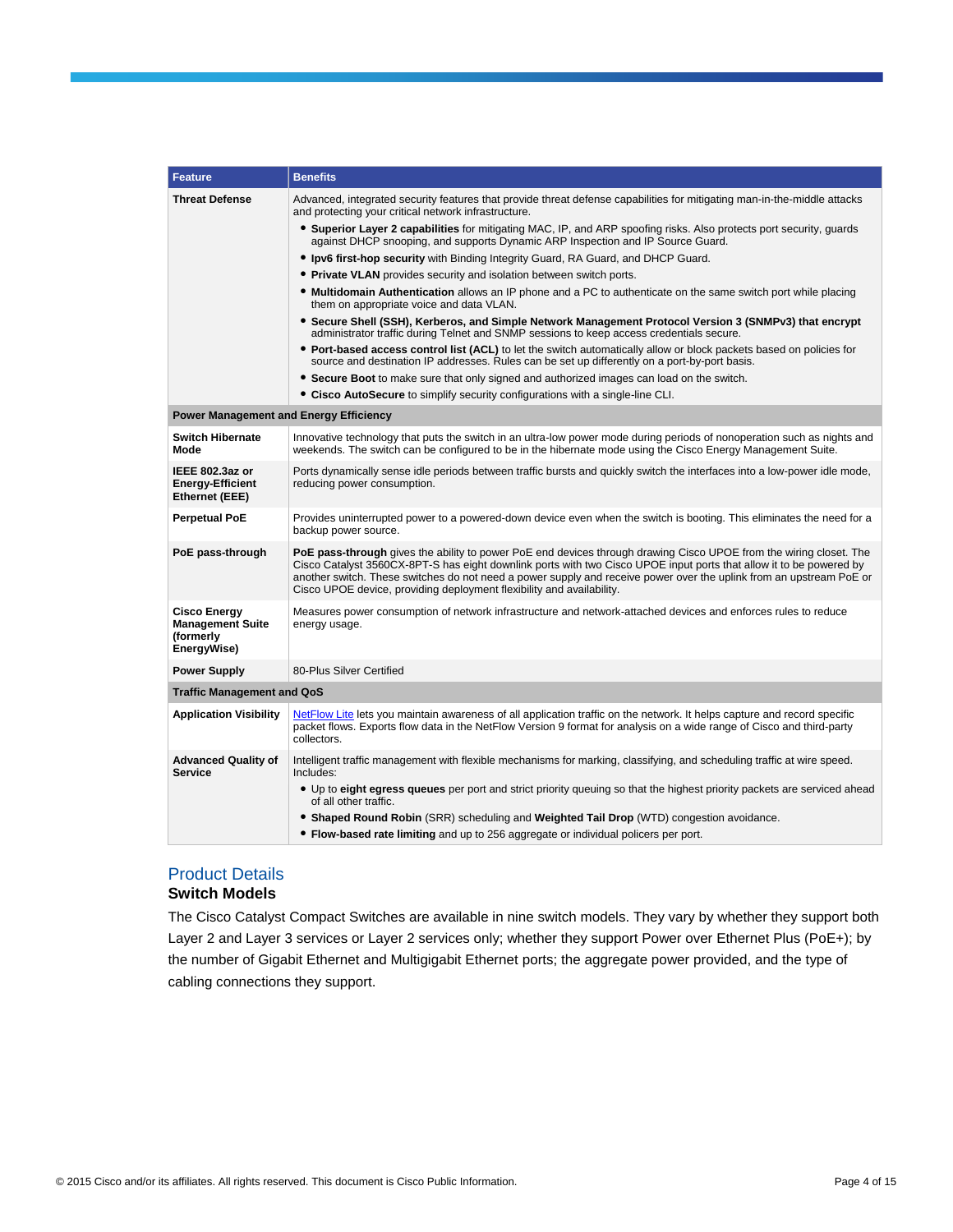| <b>Feature</b>                                                             | <b>Benefits</b>                                                                                                                                                                                                                                                                                                                                                                                                                           |
|----------------------------------------------------------------------------|-------------------------------------------------------------------------------------------------------------------------------------------------------------------------------------------------------------------------------------------------------------------------------------------------------------------------------------------------------------------------------------------------------------------------------------------|
| <b>Threat Defense</b>                                                      | Advanced, integrated security features that provide threat defense capabilities for mitigating man-in-the-middle attacks<br>and protecting your critical network infrastructure.                                                                                                                                                                                                                                                          |
|                                                                            | • Superior Layer 2 capabilities for mitigating MAC, IP, and ARP spoofing risks. Also protects port security, guards<br>against DHCP snooping, and supports Dynamic ARP Inspection and IP Source Guard.                                                                                                                                                                                                                                    |
|                                                                            | • Ipv6 first-hop security with Binding Integrity Guard, RA Guard, and DHCP Guard.                                                                                                                                                                                                                                                                                                                                                         |
|                                                                            | • Private VLAN provides security and isolation between switch ports.                                                                                                                                                                                                                                                                                                                                                                      |
|                                                                            | • Multidomain Authentication allows an IP phone and a PC to authenticate on the same switch port while placing<br>them on appropriate voice and data VLAN.                                                                                                                                                                                                                                                                                |
|                                                                            | • Secure Shell (SSH), Kerberos, and Simple Network Management Protocol Version 3 (SNMPv3) that encrypt<br>administrator traffic during Telnet and SNMP sessions to keep access credentials secure.                                                                                                                                                                                                                                        |
|                                                                            | • Port-based access control list (ACL) to let the switch automatically allow or block packets based on policies for<br>source and destination IP addresses. Rules can be set up differently on a port-by-port basis.                                                                                                                                                                                                                      |
|                                                                            | • Secure Boot to make sure that only signed and authorized images can load on the switch.                                                                                                                                                                                                                                                                                                                                                 |
|                                                                            | • Cisco AutoSecure to simplify security configurations with a single-line CLI.                                                                                                                                                                                                                                                                                                                                                            |
| <b>Power Management and Energy Efficiency</b>                              |                                                                                                                                                                                                                                                                                                                                                                                                                                           |
| <b>Switch Hibernate</b><br>Mode                                            | Innovative technology that puts the switch in an ultra-low power mode during periods of nonoperation such as nights and<br>weekends. The switch can be configured to be in the hibernate mode using the Cisco Energy Management Suite.                                                                                                                                                                                                    |
| IEEE 802.3az or<br><b>Energy-Efficient</b><br>Ethernet (EEE)               | Ports dynamically sense idle periods between traffic bursts and quickly switch the interfaces into a low-power idle mode,<br>reducing power consumption.                                                                                                                                                                                                                                                                                  |
| <b>Perpetual PoE</b>                                                       | Provides uninterrupted power to a powered-down device even when the switch is booting. This eliminates the need for a<br>backup power source.                                                                                                                                                                                                                                                                                             |
| PoE pass-through                                                           | PoE pass-through gives the ability to power PoE end devices through drawing Cisco UPOE from the wiring closet. The<br>Cisco Catalyst 3560CX-8PT-S has eight downlink ports with two Cisco UPOE input ports that allow it to be powered by<br>another switch. These switches do not need a power supply and receive power over the uplink from an upstream PoE or<br>Cisco UPOE device, providing deployment flexibility and availability. |
| <b>Cisco Energy</b><br><b>Management Suite</b><br>(formerly<br>EnergyWise) | Measures power consumption of network infrastructure and network-attached devices and enforces rules to reduce<br>energy usage.                                                                                                                                                                                                                                                                                                           |
| <b>Power Supply</b>                                                        | 80-Plus Silver Certified                                                                                                                                                                                                                                                                                                                                                                                                                  |
| <b>Traffic Management and QoS</b>                                          |                                                                                                                                                                                                                                                                                                                                                                                                                                           |
| <b>Application Visibility</b>                                              | NetFlow Lite lets you maintain awareness of all application traffic on the network. It helps capture and record specific<br>packet flows. Exports flow data in the NetFlow Version 9 format for analysis on a wide range of Cisco and third-party<br>collectors.                                                                                                                                                                          |
| <b>Advanced Quality of</b><br><b>Service</b>                               | Intelligent traffic management with flexible mechanisms for marking, classifying, and scheduling traffic at wire speed.<br>Includes:                                                                                                                                                                                                                                                                                                      |
|                                                                            | • Up to eight egress queues per port and strict priority queuing so that the highest priority packets are serviced ahead<br>of all other traffic.                                                                                                                                                                                                                                                                                         |
|                                                                            | • Shaped Round Robin (SRR) scheduling and Weighted Tail Drop (WTD) congestion avoidance.<br>• Flow-based rate limiting and up to 256 aggregate or individual policers per port.                                                                                                                                                                                                                                                           |

## Product Details

## **Switch Models**

The Cisco Catalyst Compact Switches are available in nine switch models. They vary by whether they support both Layer 2 and Layer 3 services or Layer 2 services only; whether they support Power over Ethernet Plus (PoE+); by the number of Gigabit Ethernet and Multigigabit Ethernet ports; the aggregate power provided, and the type of cabling connections they support.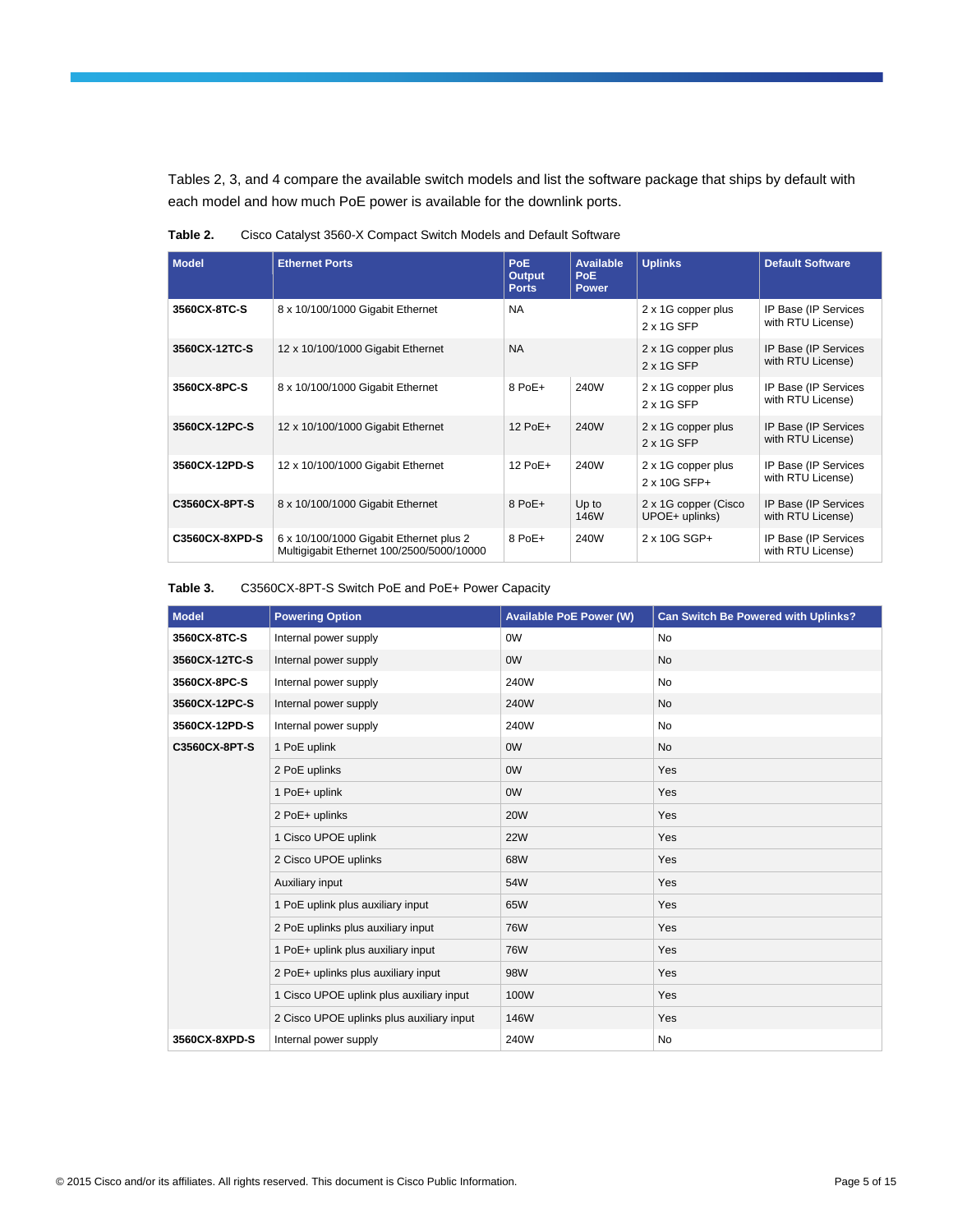Tables 2, 3, and 4 compare the available switch models and list the software package that ships by default with each model and how much PoE power is available for the downlink ports.

| <b>Model</b>   | <b>Ethernet Ports</b>                                                                | <b>PoE</b><br><b>Output</b><br><b>Ports</b> | Available<br>PoE.<br><b>Power</b> | <b>Uplinks</b>                          | <b>Default Software</b>                   |
|----------------|--------------------------------------------------------------------------------------|---------------------------------------------|-----------------------------------|-----------------------------------------|-------------------------------------------|
| 3560CX-8TC-S   | 8 x 10/100/1000 Gigabit Ethernet                                                     | <b>NA</b>                                   |                                   | 2 x 1G copper plus<br>2 x 1G SFP        | IP Base (IP Services<br>with RTU License) |
| 3560CX-12TC-S  | 12 x 10/100/1000 Gigabit Ethernet                                                    | <b>NA</b>                                   |                                   | 2 x 1G copper plus<br>2 x 1G SFP        | IP Base (IP Services<br>with RTU License) |
| 3560CX-8PC-S   | 8 x 10/100/1000 Gigabit Ethernet                                                     | 8 PoE+                                      | 240W                              | 2 x 1G copper plus<br>2 x 1G SFP        | IP Base (IP Services<br>with RTU License) |
| 3560CX-12PC-S  | 12 x 10/100/1000 Gigabit Ethernet                                                    | $12$ PoE+                                   | 240W                              | 2 x 1G copper plus<br>2 x 1G SFP        | IP Base (IP Services<br>with RTU License) |
| 3560CX-12PD-S  | 12 x 10/100/1000 Gigabit Ethernet                                                    | 12 PoE+                                     | 240W                              | 2 x 1G copper plus<br>2 x 10G SFP+      | IP Base (IP Services<br>with RTU License) |
| C3560CX-8PT-S  | 8 x 10/100/1000 Gigabit Ethernet                                                     | 8 PoE+                                      | Up to<br>146W                     | 2 x 1G copper (Cisco)<br>UPOE+ uplinks) | IP Base (IP Services<br>with RTU License) |
| C3560CX-8XPD-S | 6 x 10/100/1000 Gigabit Ethernet plus 2<br>Multiqiqabit Ethernet 100/2500/5000/10000 | 8 PoE+                                      | 240W                              | 2 x 10G SGP+                            | IP Base (IP Services<br>with RTU License) |

**Table 2.** Cisco Catalyst 3560-X Compact Switch Models and Default Software

#### **Table 3.** C3560CX-8PT-S Switch PoE and PoE+ Power Capacity

| <b>Model</b>  | <b>Powering Option</b>                    | <b>Available PoE Power (W)</b> | <b>Can Switch Be Powered with Uplinks?</b> |
|---------------|-------------------------------------------|--------------------------------|--------------------------------------------|
| 3560CX-8TC-S  | Internal power supply                     | 0W                             | <b>No</b>                                  |
| 3560CX-12TC-S | Internal power supply                     | <b>OW</b>                      | <b>No</b>                                  |
| 3560CX-8PC-S  | Internal power supply                     | 240W                           | No                                         |
| 3560CX-12PC-S | Internal power supply                     | 240W                           | <b>No</b>                                  |
| 3560CX-12PD-S | Internal power supply                     | 240W                           | No                                         |
| C3560CX-8PT-S | 1 PoE uplink                              | <b>OW</b>                      | No                                         |
|               | 2 PoE uplinks                             | <b>OW</b>                      | Yes                                        |
|               | 1 PoE+ uplink                             | <b>OW</b>                      | Yes                                        |
|               | 2 PoE+ uplinks                            | <b>20W</b>                     | Yes                                        |
|               | 1 Cisco UPOE uplink                       | <b>22W</b>                     | Yes                                        |
|               | 2 Cisco UPOE uplinks                      | 68W                            | Yes                                        |
|               | Auxiliary input                           | 54W                            | Yes                                        |
|               | 1 PoE uplink plus auxiliary input         | 65W                            | Yes                                        |
|               | 2 PoE uplinks plus auxiliary input        | <b>76W</b>                     | Yes                                        |
|               | 1 PoE+ uplink plus auxiliary input        | <b>76W</b>                     | Yes                                        |
|               | 2 PoE+ uplinks plus auxiliary input       | 98W                            | Yes                                        |
|               | 1 Cisco UPOE uplink plus auxiliary input  | 100W                           | Yes                                        |
|               | 2 Cisco UPOE uplinks plus auxiliary input | 146W                           | Yes                                        |
| 3560CX-8XPD-S | Internal power supply                     | 240W                           | No                                         |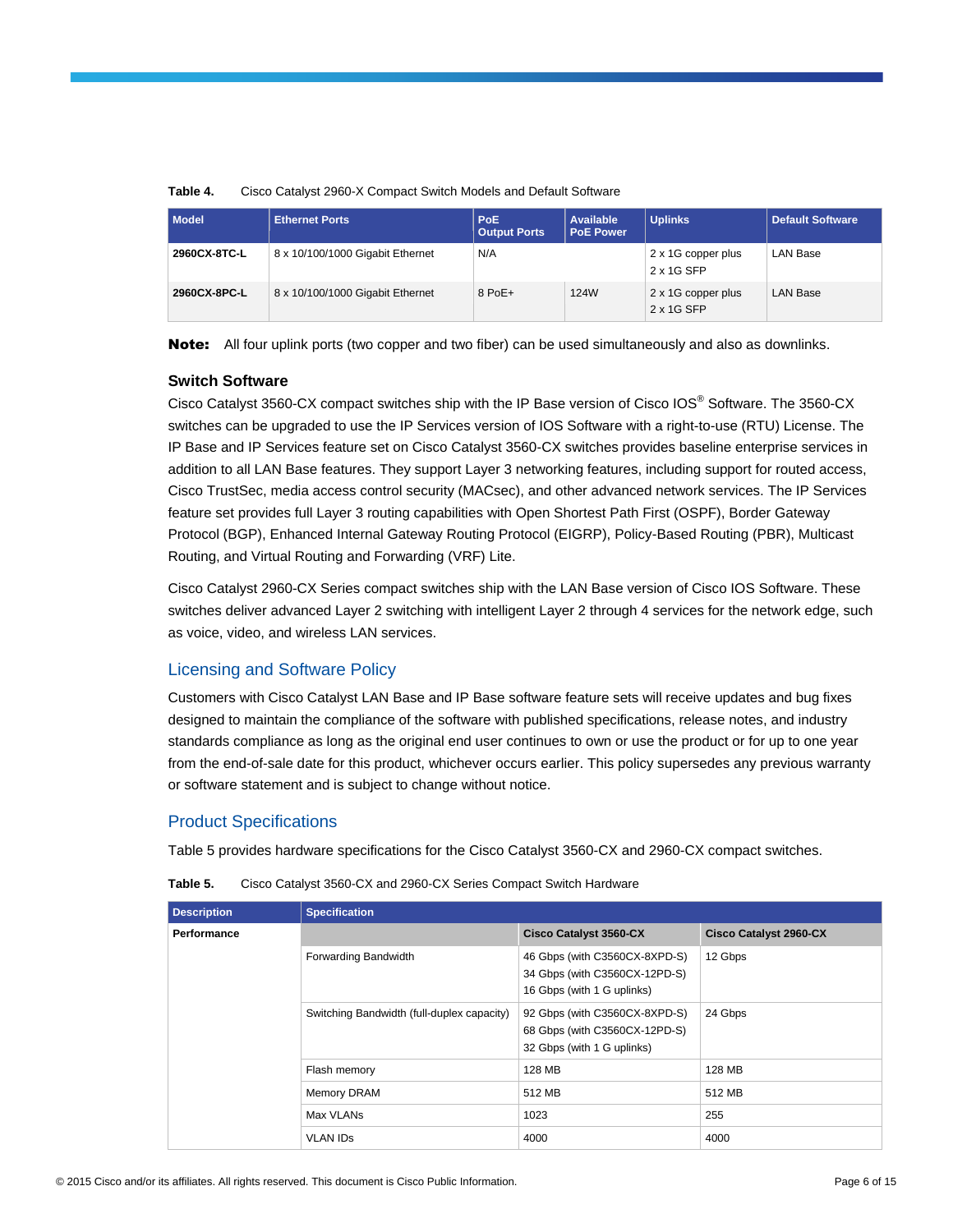| <b>Model</b> | <b>Ethernet Ports</b>            | PoE.<br><b>Output Ports</b> | Available<br><b>PoE Power</b> | <b>Uplinks</b>                   | <b>Default Software</b> |
|--------------|----------------------------------|-----------------------------|-------------------------------|----------------------------------|-------------------------|
| 2960CX-8TC-L | 8 x 10/100/1000 Gigabit Ethernet | N/A                         |                               | 2 x 1G copper plus<br>2 x 1G SFP | LAN Base                |
| 2960CX-8PC-L | 8 x 10/100/1000 Gigabit Ethernet | $8$ PoE+                    | 124W                          | 2 x 1G copper plus<br>2 x 1G SFP | <b>LAN Base</b>         |

#### **Table 4.** Cisco Catalyst 2960-X Compact Switch Models and Default Software

Note: All four uplink ports (two copper and two fiber) can be used simultaneously and also as downlinks.

#### **Switch Software**

Cisco Catalyst 3560-CX compact switches ship with the IP Base version of Cisco IOS® Software. The 3560-CX switches can be upgraded to use the IP Services version of IOS Software with a right-to-use (RTU) License. The IP Base and IP Services feature set on Cisco Catalyst 3560-CX switches provides baseline enterprise services in addition to all LAN Base features. They support Layer 3 networking features, including support for routed access, Cisco TrustSec, media access control security (MACsec), and other advanced network services. The IP Services feature set provides full Layer 3 routing capabilities with Open Shortest Path First (OSPF), Border Gateway Protocol (BGP), Enhanced Internal Gateway Routing Protocol (EIGRP), Policy-Based Routing (PBR), Multicast Routing, and Virtual Routing and Forwarding (VRF) Lite.

Cisco Catalyst 2960-CX Series compact switches ship with the LAN Base version of Cisco IOS Software. These switches deliver advanced Layer 2 switching with intelligent Layer 2 through 4 services for the network edge, such as voice, video, and wireless LAN services.

### Licensing and Software Policy

Customers with Cisco Catalyst LAN Base and IP Base software feature sets will receive updates and bug fixes designed to maintain the compliance of the software with published specifications, release notes, and industry standards compliance as long as the original end user continues to own or use the product or for up to one year from the end-of-sale date for this product, whichever occurs earlier. This policy supersedes any previous warranty or software statement and is subject to change without notice.

### Product Specifications

Table 5 provides hardware specifications for the Cisco Catalyst 3560-CX and 2960-CX compact switches.

| <b>Description</b> | <b>Specification</b>                                                                                                                       |                                                                                              |                               |  |  |  |
|--------------------|--------------------------------------------------------------------------------------------------------------------------------------------|----------------------------------------------------------------------------------------------|-------------------------------|--|--|--|
| <b>Performance</b> |                                                                                                                                            | <b>Cisco Catalyst 3560-CX</b>                                                                | <b>Cisco Catalyst 2960-CX</b> |  |  |  |
|                    | Forwarding Bandwidth                                                                                                                       | 46 Gbps (with C3560CX-8XPD-S)<br>34 Gbps (with C3560CX-12PD-S)<br>16 Gbps (with 1 G uplinks) | 12 Gbps                       |  |  |  |
|                    | 92 Gbps (with C3560CX-8XPD-S)<br>Switching Bandwidth (full-duplex capacity)<br>68 Gbps (with C3560CX-12PD-S)<br>32 Gbps (with 1 G uplinks) |                                                                                              | 24 Gbps                       |  |  |  |
|                    | Flash memory                                                                                                                               | 128 MB                                                                                       | 128 MB                        |  |  |  |
|                    | Memory DRAM                                                                                                                                | 512 MB                                                                                       | 512 MB                        |  |  |  |
|                    | Max VLANs                                                                                                                                  | 1023                                                                                         | 255                           |  |  |  |
|                    | <b>VLAN IDS</b>                                                                                                                            | 4000                                                                                         | 4000                          |  |  |  |

**Table 5.** Cisco Catalyst 3560-CX and 2960-CX Series Compact Switch Hardware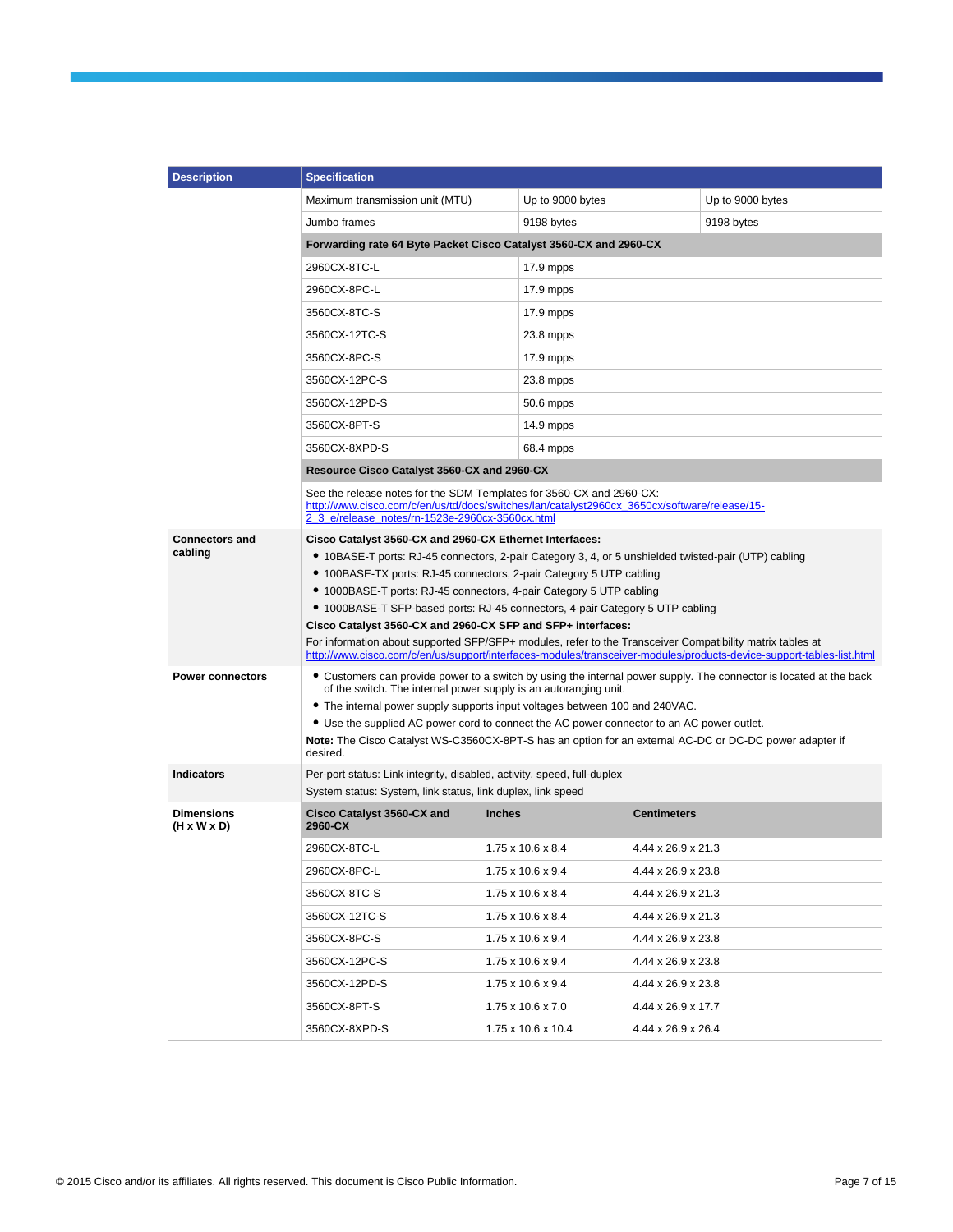| <b>Description</b>                                                               | <b>Specification</b>                                                                                                                                                                                                                                                                                                                                                                                                                                                                                                                                                                                                                                                                                                                                                                                                                                                                                                                                                                                                                                                                                                                                                                                                                                                       |                               |                                |                  |  |  |
|----------------------------------------------------------------------------------|----------------------------------------------------------------------------------------------------------------------------------------------------------------------------------------------------------------------------------------------------------------------------------------------------------------------------------------------------------------------------------------------------------------------------------------------------------------------------------------------------------------------------------------------------------------------------------------------------------------------------------------------------------------------------------------------------------------------------------------------------------------------------------------------------------------------------------------------------------------------------------------------------------------------------------------------------------------------------------------------------------------------------------------------------------------------------------------------------------------------------------------------------------------------------------------------------------------------------------------------------------------------------|-------------------------------|--------------------------------|------------------|--|--|
|                                                                                  | Maximum transmission unit (MTU)                                                                                                                                                                                                                                                                                                                                                                                                                                                                                                                                                                                                                                                                                                                                                                                                                                                                                                                                                                                                                                                                                                                                                                                                                                            | Up to 9000 bytes              |                                | Up to 9000 bytes |  |  |
|                                                                                  | Jumbo frames                                                                                                                                                                                                                                                                                                                                                                                                                                                                                                                                                                                                                                                                                                                                                                                                                                                                                                                                                                                                                                                                                                                                                                                                                                                               | 9198 bytes                    | 9198 bytes                     |                  |  |  |
|                                                                                  | Forwarding rate 64 Byte Packet Cisco Catalyst 3560-CX and 2960-CX                                                                                                                                                                                                                                                                                                                                                                                                                                                                                                                                                                                                                                                                                                                                                                                                                                                                                                                                                                                                                                                                                                                                                                                                          |                               |                                |                  |  |  |
|                                                                                  | 2960CX-8TC-L                                                                                                                                                                                                                                                                                                                                                                                                                                                                                                                                                                                                                                                                                                                                                                                                                                                                                                                                                                                                                                                                                                                                                                                                                                                               | 17.9 mpps                     |                                |                  |  |  |
|                                                                                  | 2960CX-8PC-L                                                                                                                                                                                                                                                                                                                                                                                                                                                                                                                                                                                                                                                                                                                                                                                                                                                                                                                                                                                                                                                                                                                                                                                                                                                               | 17.9 mpps                     |                                |                  |  |  |
|                                                                                  | 3560CX-8TC-S                                                                                                                                                                                                                                                                                                                                                                                                                                                                                                                                                                                                                                                                                                                                                                                                                                                                                                                                                                                                                                                                                                                                                                                                                                                               | 17.9 mpps                     |                                |                  |  |  |
|                                                                                  | 3560CX-12TC-S                                                                                                                                                                                                                                                                                                                                                                                                                                                                                                                                                                                                                                                                                                                                                                                                                                                                                                                                                                                                                                                                                                                                                                                                                                                              | 23.8 mpps                     |                                |                  |  |  |
|                                                                                  | 3560CX-8PC-S                                                                                                                                                                                                                                                                                                                                                                                                                                                                                                                                                                                                                                                                                                                                                                                                                                                                                                                                                                                                                                                                                                                                                                                                                                                               | 17.9 mpps                     |                                |                  |  |  |
|                                                                                  | 3560CX-12PC-S                                                                                                                                                                                                                                                                                                                                                                                                                                                                                                                                                                                                                                                                                                                                                                                                                                                                                                                                                                                                                                                                                                                                                                                                                                                              | 23.8 mpps                     |                                |                  |  |  |
|                                                                                  | 3560CX-12PD-S                                                                                                                                                                                                                                                                                                                                                                                                                                                                                                                                                                                                                                                                                                                                                                                                                                                                                                                                                                                                                                                                                                                                                                                                                                                              | 50.6 mpps                     |                                |                  |  |  |
|                                                                                  | 3560CX-8PT-S                                                                                                                                                                                                                                                                                                                                                                                                                                                                                                                                                                                                                                                                                                                                                                                                                                                                                                                                                                                                                                                                                                                                                                                                                                                               | 14.9 mpps                     |                                |                  |  |  |
|                                                                                  | 3560CX-8XPD-S                                                                                                                                                                                                                                                                                                                                                                                                                                                                                                                                                                                                                                                                                                                                                                                                                                                                                                                                                                                                                                                                                                                                                                                                                                                              | 68.4 mpps                     |                                |                  |  |  |
|                                                                                  | Resource Cisco Catalyst 3560-CX and 2960-CX                                                                                                                                                                                                                                                                                                                                                                                                                                                                                                                                                                                                                                                                                                                                                                                                                                                                                                                                                                                                                                                                                                                                                                                                                                |                               |                                |                  |  |  |
|                                                                                  | See the release notes for the SDM Templates for 3560-CX and 2960-CX:<br>http://www.cisco.com/c/en/us/td/docs/switches/lan/catalyst2960cx_3650cx/software/release/15-<br>2 3 e/release notes/rn-1523e-2960cx-3560cx.html                                                                                                                                                                                                                                                                                                                                                                                                                                                                                                                                                                                                                                                                                                                                                                                                                                                                                                                                                                                                                                                    |                               |                                |                  |  |  |
| <b>Connectors and</b><br>cabling<br><b>Power connectors</b><br><b>Indicators</b> | Cisco Catalyst 3560-CX and 2960-CX Ethernet Interfaces:<br>• 10BASE-T ports: RJ-45 connectors, 2-pair Category 3, 4, or 5 unshielded twisted-pair (UTP) cabling<br>• 100BASE-TX ports: RJ-45 connectors, 2-pair Category 5 UTP cabling<br>• 1000BASE-T ports: RJ-45 connectors, 4-pair Category 5 UTP cabling<br>• 1000BASE-T SFP-based ports: RJ-45 connectors, 4-pair Category 5 UTP cabling<br>Cisco Catalyst 3560-CX and 2960-CX SFP and SFP+ interfaces:<br>For information about supported SFP/SFP+ modules, refer to the Transceiver Compatibility matrix tables at<br>http://www.cisco.com/c/en/us/support/interfaces-modules/transceiver-modules/products-device-support-tables-list.html<br>• Customers can provide power to a switch by using the internal power supply. The connector is located at the back<br>of the switch. The internal power supply is an autoranging unit.<br>• The internal power supply supports input voltages between 100 and 240VAC.<br>• Use the supplied AC power cord to connect the AC power connector to an AC power outlet.<br>Note: The Cisco Catalyst WS-C3560CX-8PT-S has an option for an external AC-DC or DC-DC power adapter if<br>desired.<br>Per-port status: Link integrity, disabled, activity, speed, full-duplex |                               |                                |                  |  |  |
| <b>Dimensions</b>                                                                | System status: System, link status, link duplex, link speed<br>Cisco Catalyst 3560-CX and                                                                                                                                                                                                                                                                                                                                                                                                                                                                                                                                                                                                                                                                                                                                                                                                                                                                                                                                                                                                                                                                                                                                                                                  | <b>Inches</b>                 | <b>Centimeters</b>             |                  |  |  |
| $(H \times W \times D)$                                                          | 2960-CX                                                                                                                                                                                                                                                                                                                                                                                                                                                                                                                                                                                                                                                                                                                                                                                                                                                                                                                                                                                                                                                                                                                                                                                                                                                                    |                               |                                |                  |  |  |
|                                                                                  | 2960CX-8TC-L                                                                                                                                                                                                                                                                                                                                                                                                                                                                                                                                                                                                                                                                                                                                                                                                                                                                                                                                                                                                                                                                                                                                                                                                                                                               | $1.75 \times 10.6 \times 8.4$ | $4.44 \times 26.9 \times 21.3$ |                  |  |  |
|                                                                                  | 2960CX-8PC-L                                                                                                                                                                                                                                                                                                                                                                                                                                                                                                                                                                                                                                                                                                                                                                                                                                                                                                                                                                                                                                                                                                                                                                                                                                                               | 1.75 x 10.6 x 9.4             | 4.44 x 26.9 x 23.8             |                  |  |  |
|                                                                                  | 3560CX-8TC-S                                                                                                                                                                                                                                                                                                                                                                                                                                                                                                                                                                                                                                                                                                                                                                                                                                                                                                                                                                                                                                                                                                                                                                                                                                                               | $1.75 \times 10.6 \times 8.4$ | 4.44 x 26.9 x 21.3             |                  |  |  |
|                                                                                  | 3560CX-12TC-S                                                                                                                                                                                                                                                                                                                                                                                                                                                                                                                                                                                                                                                                                                                                                                                                                                                                                                                                                                                                                                                                                                                                                                                                                                                              | $1.75 \times 10.6 \times 8.4$ | 4.44 x 26.9 x 21.3             |                  |  |  |
|                                                                                  | 3560CX-8PC-S                                                                                                                                                                                                                                                                                                                                                                                                                                                                                                                                                                                                                                                                                                                                                                                                                                                                                                                                                                                                                                                                                                                                                                                                                                                               | $1.75 \times 10.6 \times 9.4$ | 4.44 x 26.9 x 23.8             |                  |  |  |
|                                                                                  | 3560CX-12PC-S                                                                                                                                                                                                                                                                                                                                                                                                                                                                                                                                                                                                                                                                                                                                                                                                                                                                                                                                                                                                                                                                                                                                                                                                                                                              | $1.75 \times 10.6 \times 9.4$ | 4.44 x 26.9 x 23.8             |                  |  |  |
|                                                                                  | 3560CX-12PD-S                                                                                                                                                                                                                                                                                                                                                                                                                                                                                                                                                                                                                                                                                                                                                                                                                                                                                                                                                                                                                                                                                                                                                                                                                                                              | $1.75 \times 10.6 \times 9.4$ | 4.44 x 26.9 x 23.8             |                  |  |  |
|                                                                                  | 3560CX-8PT-S                                                                                                                                                                                                                                                                                                                                                                                                                                                                                                                                                                                                                                                                                                                                                                                                                                                                                                                                                                                                                                                                                                                                                                                                                                                               | $1.75 \times 10.6 \times 7.0$ | 4.44 x 26.9 x 17.7             |                  |  |  |
|                                                                                  | 3560CX-8XPD-S                                                                                                                                                                                                                                                                                                                                                                                                                                                                                                                                                                                                                                                                                                                                                                                                                                                                                                                                                                                                                                                                                                                                                                                                                                                              | 1.75 x 10.6 x 10.4            | 4.44 x 26.9 x 26.4             |                  |  |  |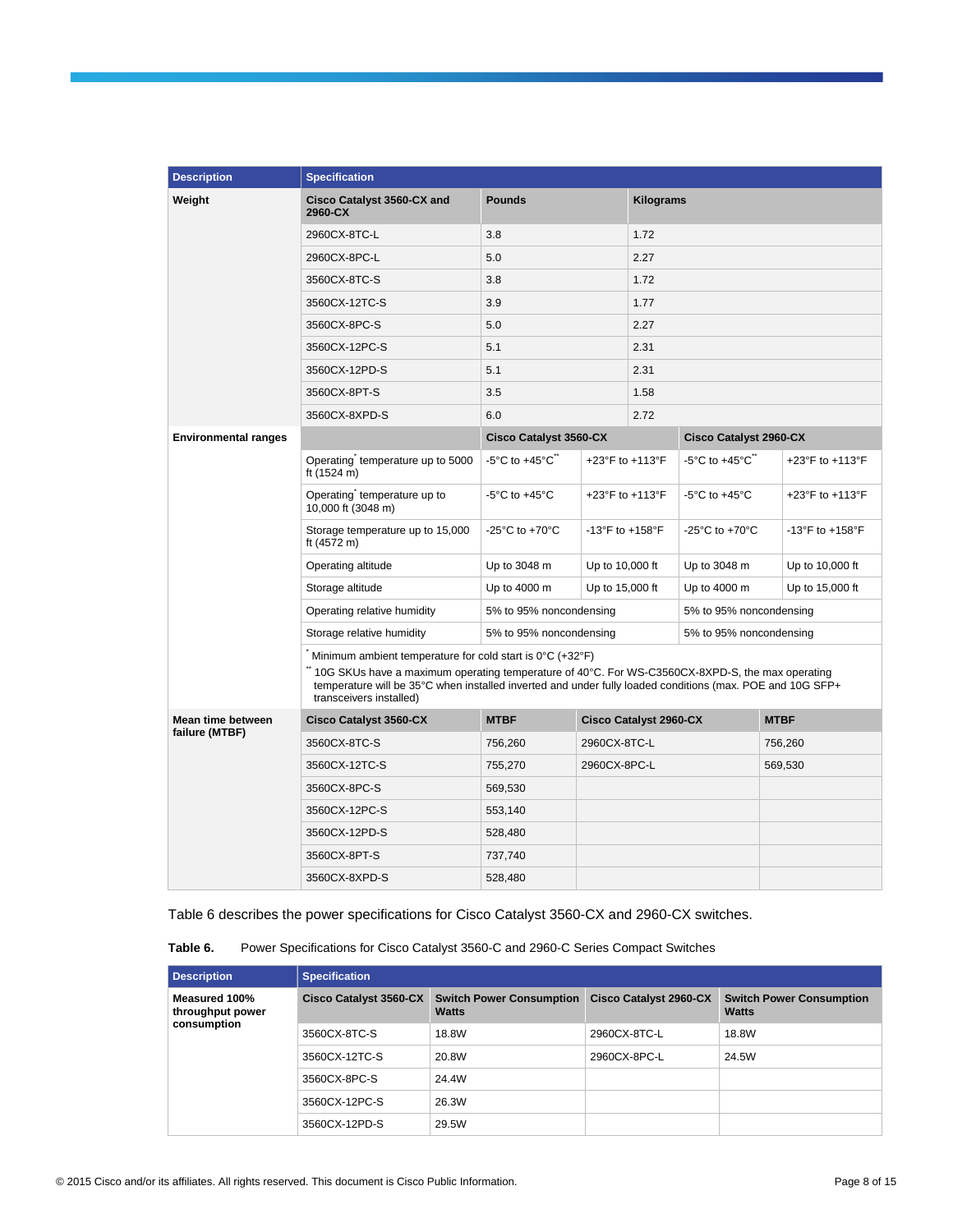| <b>Description</b>          | <b>Specification</b>                                                                 |                                                                                                                                                                                                               |                                     |                               |                                      |                                     |
|-----------------------------|--------------------------------------------------------------------------------------|---------------------------------------------------------------------------------------------------------------------------------------------------------------------------------------------------------------|-------------------------------------|-------------------------------|--------------------------------------|-------------------------------------|
| Weight                      | Cisco Catalyst 3560-CX and<br>2960-CX                                                | <b>Pounds</b>                                                                                                                                                                                                 |                                     | Kilograms                     |                                      |                                     |
|                             | 2960CX-8TC-L                                                                         | 3.8                                                                                                                                                                                                           |                                     | 1.72                          |                                      |                                     |
|                             | 2960CX-8PC-L                                                                         | 5.0                                                                                                                                                                                                           |                                     | 2.27                          |                                      |                                     |
|                             | 3560CX-8TC-S                                                                         | 3.8                                                                                                                                                                                                           |                                     | 1.72                          |                                      |                                     |
|                             | 3560CX-12TC-S                                                                        | 3.9                                                                                                                                                                                                           |                                     | 1.77                          |                                      |                                     |
|                             | 3560CX-8PC-S                                                                         | 5.0                                                                                                                                                                                                           |                                     | 2.27                          |                                      |                                     |
|                             | 3560CX-12PC-S                                                                        | 5.1                                                                                                                                                                                                           |                                     | 2.31                          |                                      |                                     |
|                             | 3560CX-12PD-S                                                                        | 5.1                                                                                                                                                                                                           |                                     | 2.31                          |                                      |                                     |
|                             | 3560CX-8PT-S                                                                         | 3.5                                                                                                                                                                                                           |                                     | 1.58                          |                                      |                                     |
|                             | 3560CX-8XPD-S                                                                        | 6.0                                                                                                                                                                                                           |                                     | 2.72                          |                                      |                                     |
| <b>Environmental ranges</b> |                                                                                      | <b>Cisco Catalyst 3560-CX</b>                                                                                                                                                                                 |                                     |                               | <b>Cisco Catalyst 2960-CX</b>        |                                     |
|                             | Operating temperature up to 5000<br>ft (1524 m)                                      | -5°C to $+45^{\circ}$ C $\degree$                                                                                                                                                                             |                                     | +23°F to +113°F               | -5°C to +45°C $\degree$              | +23°F to +113°F                     |
|                             | Operating temperature up to<br>10,000 ft (3048 m)                                    | $-5^{\circ}$ C to $+45^{\circ}$ C                                                                                                                                                                             | +23°F to +113°F                     |                               | $-5^{\circ}$ C to $+45^{\circ}$ C    | +23°F to +113°F                     |
|                             | Storage temperature up to 15,000<br>ft (4572 m)                                      | -25 $^{\circ}$ C to +70 $^{\circ}$ C                                                                                                                                                                          | $-13^{\circ}$ F to $+158^{\circ}$ F |                               | -25 $^{\circ}$ C to +70 $^{\circ}$ C | $-13^{\circ}$ F to $+158^{\circ}$ F |
|                             | Operating altitude                                                                   | Up to 3048 m                                                                                                                                                                                                  | Up to 10,000 ft                     |                               | Up to 3048 m                         | Up to 10,000 ft                     |
|                             | Storage altitude                                                                     | Up to 4000 m                                                                                                                                                                                                  | Up to 15,000 ft                     |                               | Up to 4000 m                         | Up to 15,000 ft                     |
|                             | Operating relative humidity                                                          | 5% to 95% noncondensing                                                                                                                                                                                       |                                     |                               | 5% to 95% noncondensing              |                                     |
|                             | Storage relative humidity                                                            | 5% to 95% noncondensing                                                                                                                                                                                       |                                     |                               | 5% to 95% noncondensing              |                                     |
|                             | Minimum ambient temperature for cold start is 0°C (+32°F)<br>transceivers installed) | "10G SKUs have a maximum operating temperature of 40°C. For WS-C3560CX-8XPD-S, the max operating<br>temperature will be 35°C when installed inverted and under fully loaded conditions (max. POE and 10G SFP+ |                                     |                               |                                      |                                     |
| Mean time between           | <b>Cisco Catalyst 3560-CX</b>                                                        | <b>MTBF</b>                                                                                                                                                                                                   |                                     | <b>Cisco Catalyst 2960-CX</b> |                                      | <b>MTBF</b>                         |
| failure (MTBF)              | 3560CX-8TC-S                                                                         | 756,260                                                                                                                                                                                                       | 2960CX-8TC-L                        |                               |                                      | 756,260                             |
|                             | 3560CX-12TC-S                                                                        | 755,270                                                                                                                                                                                                       | 2960CX-8PC-L                        |                               |                                      | 569,530                             |
|                             | 3560CX-8PC-S                                                                         | 569,530                                                                                                                                                                                                       |                                     |                               |                                      |                                     |
|                             | 3560CX-12PC-S                                                                        | 553,140                                                                                                                                                                                                       |                                     |                               |                                      |                                     |
|                             | 3560CX-12PD-S                                                                        | 528,480                                                                                                                                                                                                       |                                     |                               |                                      |                                     |
|                             | 3560CX-8PT-S                                                                         | 737,740                                                                                                                                                                                                       |                                     |                               |                                      |                                     |
|                             | 3560CX-8XPD-S                                                                        | 528.480                                                                                                                                                                                                       |                                     |                               |                                      |                                     |

Table 6 describes the power specifications for Cisco Catalyst 3560-CX and 2960-CX switches.

| Table 6. |  |  | Power Specifications for Cisco Catalyst 3560-C and 2960-C Series Compact Switches |
|----------|--|--|-----------------------------------------------------------------------------------|
|----------|--|--|-----------------------------------------------------------------------------------|

| <b>Description</b>                | <b>Specification</b>   |                                                 |                               |                                                 |  |
|-----------------------------------|------------------------|-------------------------------------------------|-------------------------------|-------------------------------------------------|--|
| Measured 100%<br>throughput power | Cisco Catalyst 3560-CX | <b>Switch Power Consumption</b><br><b>Watts</b> | <b>Cisco Catalyst 2960-CX</b> | <b>Switch Power Consumption</b><br><b>Watts</b> |  |
| consumption                       | 3560CX-8TC-S           | 18.8W                                           | 2960CX-8TC-L                  | 18.8W                                           |  |
|                                   | 3560CX-12TC-S          | 20.8W                                           | 2960CX-8PC-L                  | 24.5W                                           |  |
|                                   | 3560CX-8PC-S           | 24.4W                                           |                               |                                                 |  |
|                                   | 3560CX-12PC-S          | 26.3W                                           |                               |                                                 |  |
|                                   | 3560CX-12PD-S          | 29.5W                                           |                               |                                                 |  |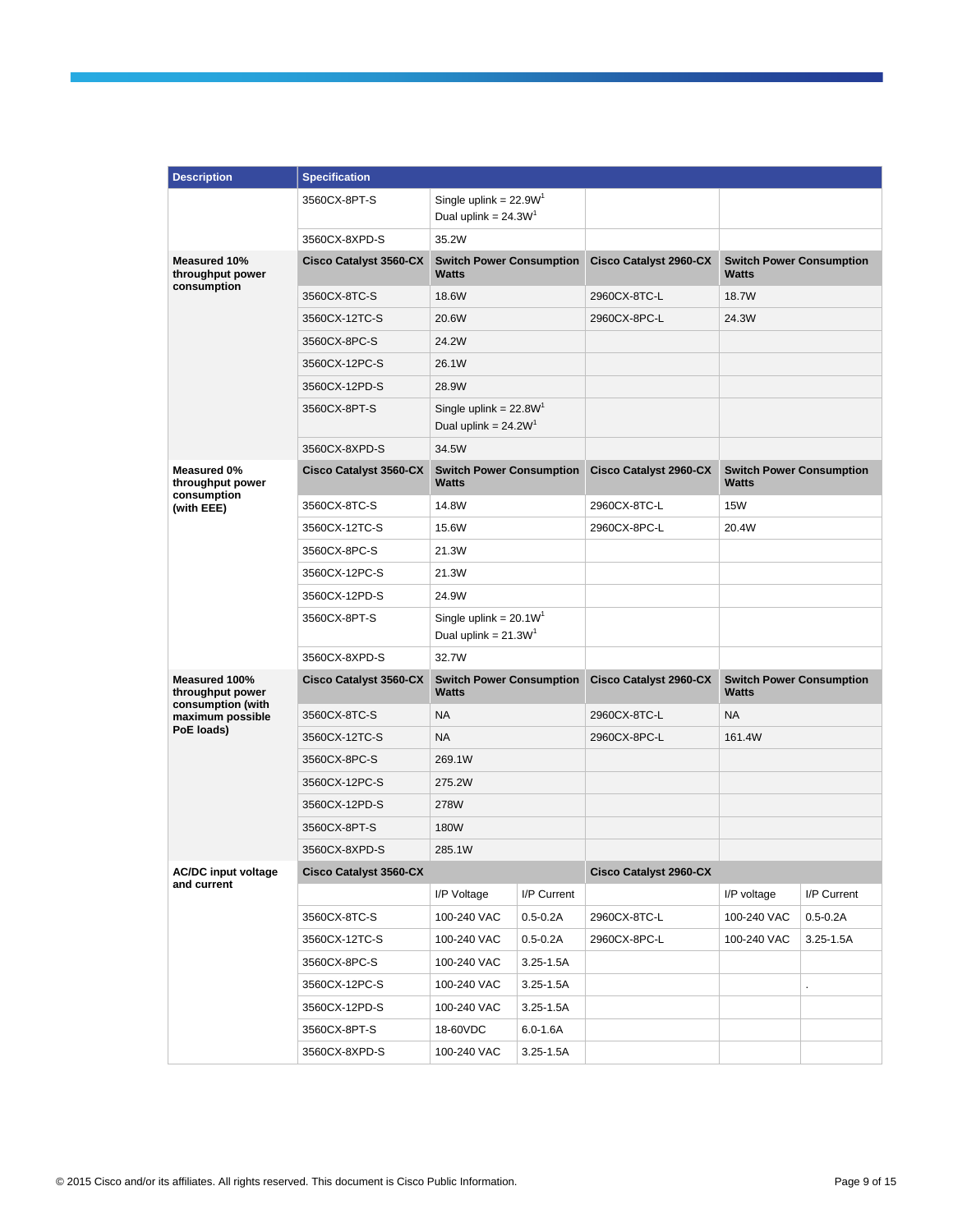| <b>Description</b>                             | <b>Specification</b>          |                                                    |               |                               |                                          |               |
|------------------------------------------------|-------------------------------|----------------------------------------------------|---------------|-------------------------------|------------------------------------------|---------------|
|                                                | 3560CX-8PT-S                  | Single uplink = $22.9W'$<br>Dual uplink = $24.3W1$ |               |                               |                                          |               |
|                                                | 3560CX-8XPD-S                 | 35.2W                                              |               |                               |                                          |               |
| Measured 10%<br>throughput power               | <b>Cisco Catalyst 3560-CX</b> | <b>Switch Power Consumption</b><br><b>Watts</b>    |               | <b>Cisco Catalyst 2960-CX</b> | <b>Switch Power Consumption</b><br>Watts |               |
| consumption                                    | 3560CX-8TC-S                  | 18.6W                                              |               | 2960CX-8TC-L                  | 18.7W                                    |               |
|                                                | 3560CX-12TC-S                 | 20.6W                                              |               | 2960CX-8PC-L                  | 24.3W                                    |               |
|                                                | 3560CX-8PC-S                  | 24.2W                                              |               |                               |                                          |               |
|                                                | 3560CX-12PC-S                 | 26.1W                                              |               |                               |                                          |               |
|                                                | 3560CX-12PD-S                 | 28.9W                                              |               |                               |                                          |               |
|                                                | 3560CX-8PT-S                  | Single uplink = $22.8WT$<br>Dual uplink = $24.2W1$ |               |                               |                                          |               |
|                                                | 3560CX-8XPD-S                 | 34.5W                                              |               |                               |                                          |               |
| Measured 0%<br>throughput power<br>consumption | <b>Cisco Catalyst 3560-CX</b> | <b>Switch Power Consumption</b><br><b>Watts</b>    |               | <b>Cisco Catalyst 2960-CX</b> | <b>Switch Power Consumption</b><br>Watts |               |
| (with EEE)                                     | 3560CX-8TC-S                  | 14.8W                                              |               | 2960CX-8TC-L                  | <b>15W</b>                               |               |
|                                                | 3560CX-12TC-S                 | 15.6W                                              |               | 2960CX-8PC-L                  | 20.4W                                    |               |
|                                                | 3560CX-8PC-S                  | 21.3W                                              |               |                               |                                          |               |
|                                                | 3560CX-12PC-S                 | 21.3W                                              |               |                               |                                          |               |
|                                                | 3560CX-12PD-S                 | 24.9W                                              |               |                               |                                          |               |
|                                                | 3560CX-8PT-S                  | Single uplink = $20.1WT$<br>Dual uplink = $21.3W1$ |               |                               |                                          |               |
|                                                | 3560CX-8XPD-S                 | 32.7W                                              |               |                               |                                          |               |
| Measured 100%<br>throughput power              | <b>Cisco Catalyst 3560-CX</b> | <b>Switch Power Consumption</b><br><b>Watts</b>    |               | <b>Cisco Catalyst 2960-CX</b> | <b>Switch Power Consumption</b><br>Watts |               |
| consumption (with<br>maximum possible          | 3560CX-8TC-S                  | <b>NA</b>                                          |               | 2960CX-8TC-L                  | <b>NA</b>                                |               |
| PoE loads)                                     | 3560CX-12TC-S                 | <b>NA</b>                                          |               | 2960CX-8PC-L                  | 161.4W                                   |               |
|                                                | 3560CX-8PC-S                  | 269.1W                                             |               |                               |                                          |               |
|                                                | 3560CX-12PC-S                 | 275.2W                                             |               |                               |                                          |               |
|                                                | 3560CX-12PD-S                 | 278W                                               |               |                               |                                          |               |
|                                                | 3560CX-8PT-S                  | 180W                                               |               |                               |                                          |               |
|                                                | 3560CX-8XPD-S                 | 285.1W                                             |               |                               |                                          |               |
| <b>AC/DC input voltage</b>                     | <b>Cisco Catalyst 3560-CX</b> |                                                    |               | <b>Cisco Catalyst 2960-CX</b> |                                          |               |
| and current                                    |                               | I/P Voltage                                        | I/P Current   |                               | I/P voltage                              | I/P Current   |
|                                                | 3560CX-8TC-S                  | 100-240 VAC                                        | $0.5 - 0.2A$  | 2960CX-8TC-L                  | 100-240 VAC                              | $0.5 - 0.2A$  |
|                                                | 3560CX-12TC-S                 | 100-240 VAC                                        | $0.5 - 0.2A$  | 2960CX-8PC-L                  | 100-240 VAC                              | $3.25 - 1.5A$ |
|                                                | 3560CX-8PC-S                  | 100-240 VAC                                        | $3.25 - 1.5A$ |                               |                                          |               |
|                                                | 3560CX-12PC-S                 | 100-240 VAC                                        | 3.25-1.5A     |                               |                                          |               |
|                                                | 3560CX-12PD-S                 | 100-240 VAC                                        | 3.25-1.5A     |                               |                                          |               |
|                                                | 3560CX-8PT-S                  | 18-60VDC                                           | 6.0-1.6A      |                               |                                          |               |
|                                                | 3560CX-8XPD-S                 | 100-240 VAC                                        | $3.25 - 1.5A$ |                               |                                          |               |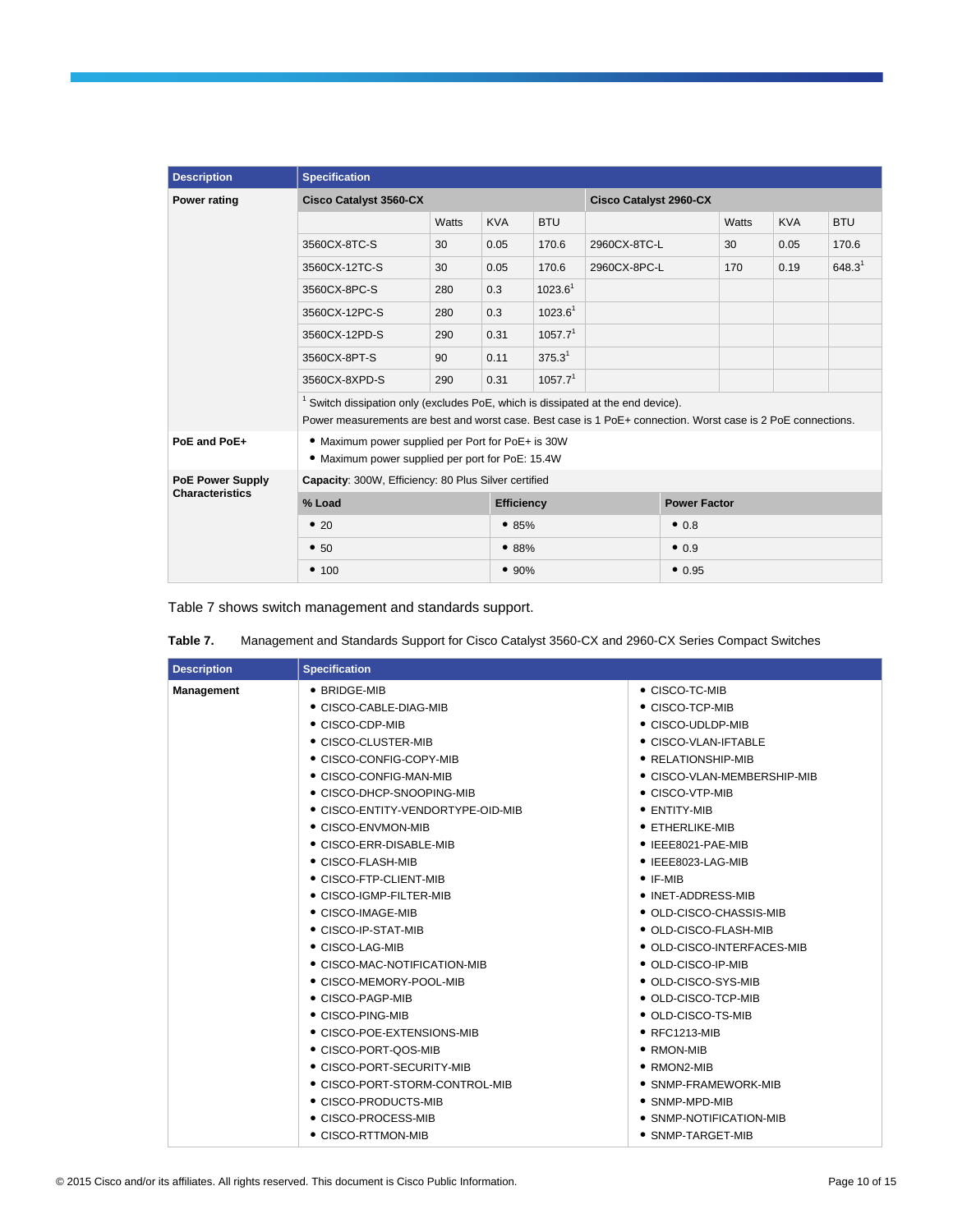| <b>Description</b>                                | <b>Specification</b>                                                                                         |       |            |                               |              |                     |       |            |             |
|---------------------------------------------------|--------------------------------------------------------------------------------------------------------------|-------|------------|-------------------------------|--------------|---------------------|-------|------------|-------------|
| <b>Power rating</b>                               | <b>Cisco Catalyst 3560-CX</b>                                                                                |       |            | <b>Cisco Catalyst 2960-CX</b> |              |                     |       |            |             |
|                                                   |                                                                                                              | Watts | <b>KVA</b> | <b>BTU</b>                    |              |                     | Watts | <b>KVA</b> | <b>BTU</b>  |
|                                                   | 3560CX-8TC-S                                                                                                 | 30    | 0.05       | 170.6                         | 2960CX-8TC-L |                     | 30    | 0.05       | 170.6       |
|                                                   | 3560CX-12TC-S                                                                                                | 30    | 0.05       | 170.6                         | 2960CX-8PC-L |                     | 170   | 0.19       | $648.3^{1}$ |
|                                                   | 3560CX-8PC-S                                                                                                 | 280   | 0.3        | $1023.6^1$                    |              |                     |       |            |             |
|                                                   | 3560CX-12PC-S                                                                                                | 280   | 0.3        | 1023.6 <sup>1</sup>           |              |                     |       |            |             |
|                                                   | 3560CX-12PD-S                                                                                                | 290   | 0.31       | 1057.7 <sup>1</sup>           |              |                     |       |            |             |
|                                                   | 3560CX-8PT-S                                                                                                 | 90    | 0.11       | 375.3 <sup>1</sup>            |              |                     |       |            |             |
|                                                   | 3560CX-8XPD-S                                                                                                | 290   | 0.31       | 1057.7 <sup>1</sup>           |              |                     |       |            |             |
|                                                   | <sup>1</sup> Switch dissipation only (excludes PoE, which is dissipated at the end device).                  |       |            |                               |              |                     |       |            |             |
|                                                   | Power measurements are best and worst case. Best case is 1 PoE+ connection. Worst case is 2 PoE connections. |       |            |                               |              |                     |       |            |             |
| PoE and PoE+                                      | • Maximum power supplied per Port for PoE+ is 30W<br>• Maximum power supplied per port for PoE: 15.4W        |       |            |                               |              |                     |       |            |             |
| <b>PoE Power Supply</b><br><b>Characteristics</b> | Capacity: 300W, Efficiency: 80 Plus Silver certified                                                         |       |            |                               |              |                     |       |            |             |
|                                                   | % Load                                                                                                       |       |            | <b>Efficiency</b>             |              | <b>Power Factor</b> |       |            |             |
|                                                   | •20                                                                                                          |       |            | •85%                          |              | •0.8                |       |            |             |
|                                                   | • 50                                                                                                         | •88%  |            |                               |              | •0.9                |       |            |             |
|                                                   | • 100                                                                                                        |       | • 90%      |                               |              | • 0.95              |       |            |             |

Table 7 shows switch management and standards support.

| Management and Standards Support for Cisco Catalyst 3560-CX and 2960-CX Series Compact Switches<br>Table 7. |
|-------------------------------------------------------------------------------------------------------------|
|-------------------------------------------------------------------------------------------------------------|

| • BRIDGE-MIB<br>Management<br>• CISCO-TC-MIB<br>● CISCO-CABLE-DIAG-MIB<br>• CISCO-TCP-MIB<br>• CISCO-CDP-MIB<br>• CISCO-UDLDP-MIB<br>• CISCO-VLAN-IFTABLE |  |
|-----------------------------------------------------------------------------------------------------------------------------------------------------------|--|
|                                                                                                                                                           |  |
|                                                                                                                                                           |  |
|                                                                                                                                                           |  |
| • CISCO-CLUSTER-MIB                                                                                                                                       |  |
| • CISCO-CONFIG-COPY-MIB<br>• RELATIONSHIP-MIB                                                                                                             |  |
| • CISCO-CONFIG-MAN-MIB<br>• CISCO-VLAN-MEMBERSHIP-MIB                                                                                                     |  |
| • CISCO-DHCP-SNOOPING-MIB<br>$\bullet$ CISCO-VTP-MIB                                                                                                      |  |
| • CISCO-ENTITY-VENDORTYPE-OID-MIB<br>• ENTITY-MIB                                                                                                         |  |
| • CISCO-ENVMON-MIB<br>$\bullet$ ETHERLIKE-MIB                                                                                                             |  |
| • CISCO-ERR-DISABLE-MIB<br>$\bullet$ IEEE8021-PAE-MIB                                                                                                     |  |
| • CISCO-FLASH-MIB<br>• IEEE8023-LAG-MIB                                                                                                                   |  |
| • CISCO-FTP-CLIENT-MIB<br>$\bullet$ IF-MIB                                                                                                                |  |
| • CISCO-IGMP-FILTER-MIB<br>• INET-ADDRESS-MIB                                                                                                             |  |
| • CISCO-IMAGE-MIB<br>• OLD-CISCO-CHASSIS-MIB                                                                                                              |  |
| • CISCO-IP-STAT-MIB<br>• OLD-CISCO-FLASH-MIB                                                                                                              |  |
| • CISCO-LAG-MIB<br>• OLD-CISCO-INTERFACES-MIB                                                                                                             |  |
| • CISCO-MAC-NOTIFICATION-MIB<br>• OLD-CISCO-IP-MIB                                                                                                        |  |
| • CISCO-MEMORY-POOL-MIB<br>• OLD-CISCO-SYS-MIB                                                                                                            |  |
| • OLD-CISCO-TCP-MIB<br>• CISCO-PAGP-MIB                                                                                                                   |  |
| • CISCO-PING-MIB<br>• OLD-CISCO-TS-MIB                                                                                                                    |  |
| $\bullet$ RFC1213-MIB<br>• CISCO-POE-EXTENSIONS-MIB                                                                                                       |  |
| • CISCO-PORT-QOS-MIB<br>• RMON-MIB                                                                                                                        |  |
| • CISCO-PORT-SECURITY-MIB<br>$\bullet$ RMON2-MIB                                                                                                          |  |
| • CISCO-PORT-STORM-CONTROL-MIB<br>• SNMP-FRAMEWORK-MIB                                                                                                    |  |
| • CISCO-PRODUCTS-MIB<br>$\bullet$ SNMP-MPD-MIB                                                                                                            |  |
| • CISCO-PROCESS-MIB<br>• SNMP-NOTIFICATION-MIB                                                                                                            |  |
| • CISCO-RTTMON-MIB<br>• SNMP-TARGET-MIB                                                                                                                   |  |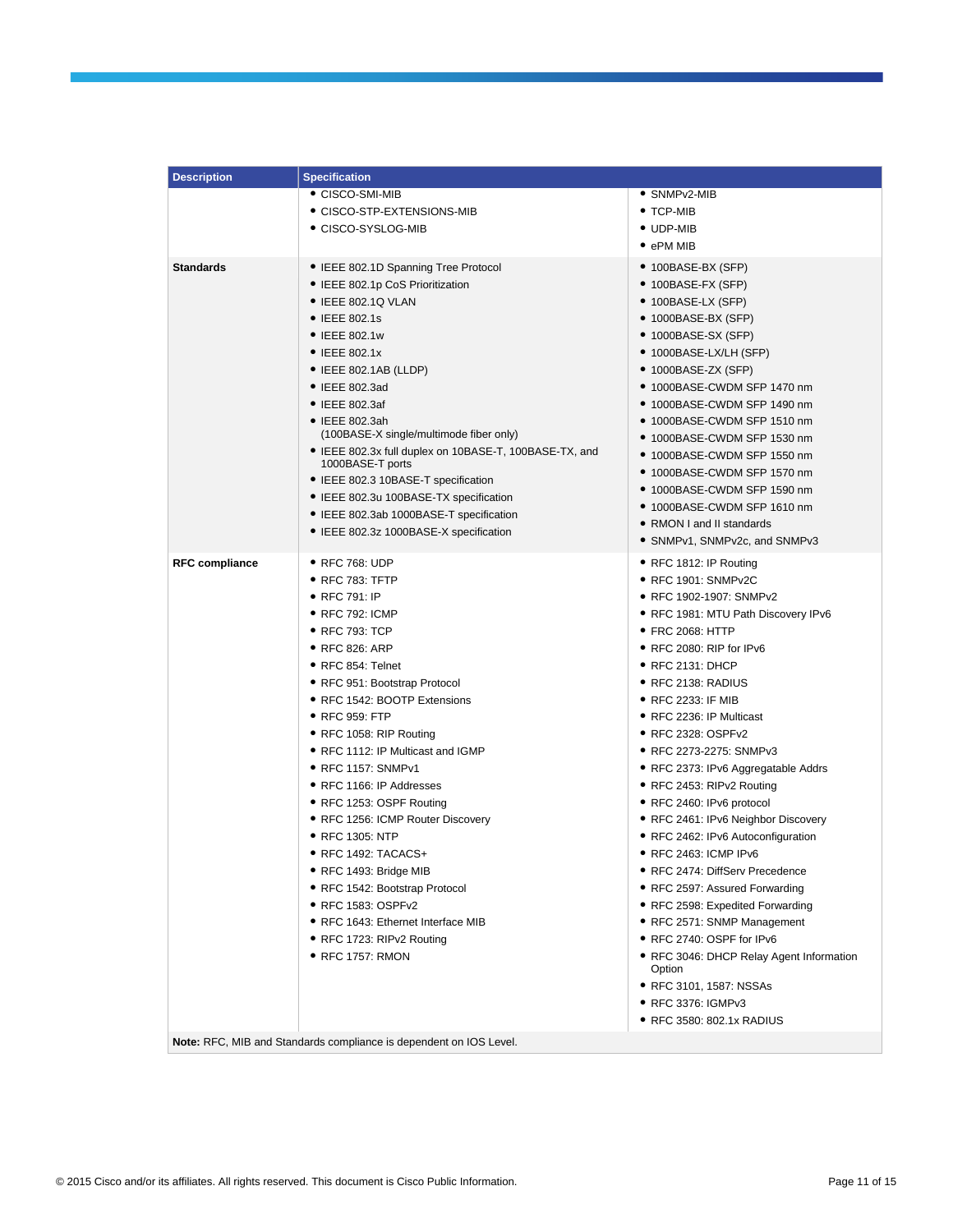| <b>Description</b>    | <b>Specification</b>                                                                                                                                                                                                                                                                                                                                                                                                                                                                                                                                                                                                                            |                                                                                                                                                                                                                                                                                                                                                                                                                                                                                                                                                                                                                                                                                                                                                                                                         |
|-----------------------|-------------------------------------------------------------------------------------------------------------------------------------------------------------------------------------------------------------------------------------------------------------------------------------------------------------------------------------------------------------------------------------------------------------------------------------------------------------------------------------------------------------------------------------------------------------------------------------------------------------------------------------------------|---------------------------------------------------------------------------------------------------------------------------------------------------------------------------------------------------------------------------------------------------------------------------------------------------------------------------------------------------------------------------------------------------------------------------------------------------------------------------------------------------------------------------------------------------------------------------------------------------------------------------------------------------------------------------------------------------------------------------------------------------------------------------------------------------------|
|                       | • CISCO-SMI-MIB                                                                                                                                                                                                                                                                                                                                                                                                                                                                                                                                                                                                                                 | • SNMPv2-MIB                                                                                                                                                                                                                                                                                                                                                                                                                                                                                                                                                                                                                                                                                                                                                                                            |
|                       | $\bullet$ CISCO-STP-EXTENSIONS-MIB                                                                                                                                                                                                                                                                                                                                                                                                                                                                                                                                                                                                              | $\bullet$ TCP-MIB                                                                                                                                                                                                                                                                                                                                                                                                                                                                                                                                                                                                                                                                                                                                                                                       |
|                       | ● CISCO-SYSLOG-MIB                                                                                                                                                                                                                                                                                                                                                                                                                                                                                                                                                                                                                              | • UDP-MIB                                                                                                                                                                                                                                                                                                                                                                                                                                                                                                                                                                                                                                                                                                                                                                                               |
|                       |                                                                                                                                                                                                                                                                                                                                                                                                                                                                                                                                                                                                                                                 | $\bullet$ ePM MIB                                                                                                                                                                                                                                                                                                                                                                                                                                                                                                                                                                                                                                                                                                                                                                                       |
| <b>Standards</b>      | • IEEE 802.1D Spanning Tree Protocol<br>• IEEE 802.1p CoS Prioritization<br>• IEEE 802.1Q VLAN<br>$\bullet$ IEEE 802.1s<br>• IEEE 802.1w<br>• IEEE 802.1x<br>$\bullet$ IEEE 802.1AB (LLDP)<br>$\bullet$ IEEE 802.3ad<br>$\bullet$ IEEE 802.3af<br>$\bullet$ IEEE 802.3ah<br>(100BASE-X single/multimode fiber only)<br>• IEEE 802.3x full duplex on 10BASE-T, 100BASE-TX, and<br>1000BASE-T ports                                                                                                                                                                                                                                               | ● 100BASE-BX (SFP)<br>● 100BASE-FX (SFP)<br>• 100BASE-LX (SFP)<br>● 1000BASE-BX (SFP)<br>$\bullet$ 1000BASE-SX (SFP)<br>$\bullet$ 1000BASE-LX/LH (SFP)<br>$\bullet$ 1000BASE-ZX (SFP)<br>● 1000BASE-CWDM SFP 1470 nm<br>● 1000BASE-CWDM SFP 1490 nm<br>$\bullet$ 1000BASE-CWDM SFP 1510 nm<br>● 1000BASE-CWDM SFP 1530 nm<br>● 1000BASE-CWDM SFP 1550 nm<br>$\bullet$ 1000BASE-CWDM SFP 1570 nm                                                                                                                                                                                                                                                                                                                                                                                                         |
|                       | • IEEE 802.3 10BASE-T specification<br>• IEEE 802.3u 100BASE-TX specification<br>• IEEE 802.3ab 1000BASE-T specification<br>• IEEE 802.3z 1000BASE-X specification                                                                                                                                                                                                                                                                                                                                                                                                                                                                              | ● 1000BASE-CWDM SFP 1590 nm<br>● 1000BASE-CWDM SFP 1610 nm<br>• RMON I and II standards<br>● SNMPv1, SNMPv2c, and SNMPv3                                                                                                                                                                                                                                                                                                                                                                                                                                                                                                                                                                                                                                                                                |
| <b>RFC compliance</b> | • RFC 768: UDP<br>$\bullet$ RFC 783: TFTP<br>• RFC 791: IP<br>$\bullet$ RFC 792: ICMP<br>$\bullet$ RFC 793: TCP<br>● RFC 826: ARP<br>• RFC 854: Telnet<br>• RFC 951: Bootstrap Protocol<br>• RFC 1542: BOOTP Extensions<br>• RFC 959: FTP<br>● RFC 1058: RIP Routing<br>• RFC 1112: IP Multicast and IGMP<br>• RFC 1157: SNMPv1<br>• RFC 1166: IP Addresses<br>● RFC 1253: OSPF Routing<br>• RFC 1256: ICMP Router Discovery<br>• RFC 1305: NTP<br>• RFC 1492: TACACS+<br>● RFC 1493: Bridge MIB<br>• RFC 1542: Bootstrap Protocol<br>• RFC 1583: OSPFv2<br>• RFC 1643: Ethernet Interface MIB<br>• RFC 1723: RIPv2 Routing<br>• RFC 1757: RMON | ● RFC 1812: IP Routing<br>• RFC 1901: SNMPv2C<br>● RFC 1902-1907: SNMPv2<br>• RFC 1981: MTU Path Discovery IPv6<br>• FRC 2068: HTTP<br>● RFC 2080: RIP for IPv6<br>• RFC 2131: DHCP<br>$\bullet$ RFC 2138: RADIUS<br>• RFC 2233: IF MIB<br>• RFC 2236: IP Multicast<br>● RFC 2328: OSPFv2<br>● RFC 2273-2275: SNMPv3<br>• RFC 2373: IPv6 Aggregatable Addrs<br>● RFC 2453: RIPv2 Routing<br>● RFC 2460: IPv6 protocol<br>● RFC 2461: IPv6 Neighbor Discovery<br>• RFC 2462: IPv6 Autoconfiguration<br>● RFC 2463: ICMP IPv6<br>● RFC 2474: DiffServ Precedence<br>• RFC 2597: Assured Forwarding<br>• RFC 2598: Expedited Forwarding<br>• RFC 2571: SNMP Management<br>● RFC 2740: OSPF for IPv6<br>· RFC 3046: DHCP Relay Agent Information<br>Option<br>● RFC 3101, 1587: NSSAs<br>● RFC 3376: IGMPv3 |
|                       |                                                                                                                                                                                                                                                                                                                                                                                                                                                                                                                                                                                                                                                 | ● RFC 3580: 802.1x RADIUS                                                                                                                                                                                                                                                                                                                                                                                                                                                                                                                                                                                                                                                                                                                                                                               |
|                       | Note: RFC, MIB and Standards compliance is dependent on IOS Level.                                                                                                                                                                                                                                                                                                                                                                                                                                                                                                                                                                              |                                                                                                                                                                                                                                                                                                                                                                                                                                                                                                                                                                                                                                                                                                                                                                                                         |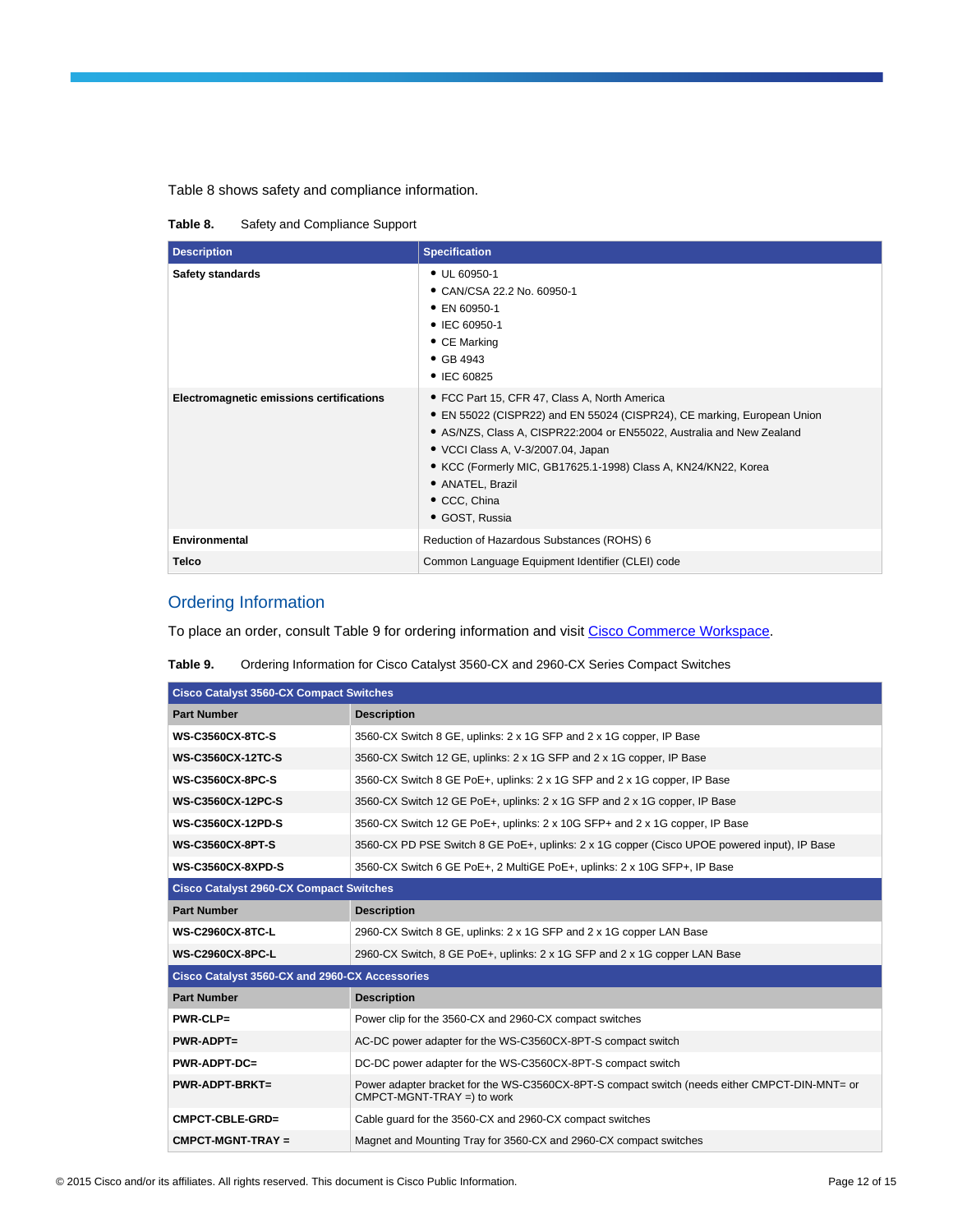#### Table 8 shows safety and compliance information.

**Table 8.** Safety and Compliance Support

| <b>Description</b>                       | <b>Specification</b>                                                                                                                                                                                                                                                                                                                                            |
|------------------------------------------|-----------------------------------------------------------------------------------------------------------------------------------------------------------------------------------------------------------------------------------------------------------------------------------------------------------------------------------------------------------------|
| <b>Safety standards</b>                  | • UL 60950-1<br>• CAN/CSA 22.2 No. 60950-1<br>• EN 60950-1<br>• IEC 60950-1<br>• CE Marking<br>• GB 4943<br>• IEC 60825                                                                                                                                                                                                                                         |
| Electromagnetic emissions certifications | • FCC Part 15, CFR 47, Class A, North America<br>• EN 55022 (CISPR22) and EN 55024 (CISPR24), CE marking, European Union<br>• AS/NZS, Class A, CISPR22:2004 or EN55022, Australia and New Zealand<br>• VCCI Class A, V-3/2007.04, Japan<br>• KCC (Formerly MIC, GB17625.1-1998) Class A, KN24/KN22, Korea<br>• ANATEL, Brazil<br>• CCC, China<br>· GOST, Russia |
| <b>Environmental</b>                     | Reduction of Hazardous Substances (ROHS) 6                                                                                                                                                                                                                                                                                                                      |
| <b>Telco</b>                             | Common Language Equipment Identifier (CLEI) code                                                                                                                                                                                                                                                                                                                |

## Ordering Information

To place an order, consult Table 9 for ordering information and visit [Cisco Commerce Workspace.](https://sso.cisco.com/autho/forms/CDClogin.html)

**Table 9.** Ordering Information for Cisco Catalyst 3560-CX and 2960-CX Series Compact Switches

| <b>Cisco Catalyst 3560-CX Compact Switches</b> |                                                                                                                              |  |  |  |
|------------------------------------------------|------------------------------------------------------------------------------------------------------------------------------|--|--|--|
| <b>Part Number</b>                             | <b>Description</b>                                                                                                           |  |  |  |
| <b>WS-C3560CX-8TC-S</b>                        | 3560-CX Switch 8 GE, uplinks: 2 x 1G SFP and 2 x 1G copper, IP Base                                                          |  |  |  |
| <b>WS-C3560CX-12TC-S</b>                       | 3560-CX Switch 12 GE, uplinks: 2 x 1G SFP and 2 x 1G copper, IP Base                                                         |  |  |  |
| <b>WS-C3560CX-8PC-S</b>                        | 3560-CX Switch 8 GE PoE+, uplinks: 2 x 1G SFP and 2 x 1G copper, IP Base                                                     |  |  |  |
| <b>WS-C3560CX-12PC-S</b>                       | 3560-CX Switch 12 GE PoE+, uplinks: 2 x 1G SFP and 2 x 1G copper, IP Base                                                    |  |  |  |
| <b>WS-C3560CX-12PD-S</b>                       | 3560-CX Switch 12 GE PoE+, uplinks: 2 x 10G SFP+ and 2 x 1G copper, IP Base                                                  |  |  |  |
| <b>WS-C3560CX-8PT-S</b>                        | 3560-CX PD PSE Switch 8 GE PoE+, uplinks: 2 x 1G copper (Cisco UPOE powered input), IP Base                                  |  |  |  |
| <b>WS-C3560CX-8XPD-S</b>                       | 3560-CX Switch 6 GE PoE+, 2 MultiGE PoE+, uplinks: 2 x 10G SFP+, IP Base                                                     |  |  |  |
| <b>Cisco Catalyst 2960-CX Compact Switches</b> |                                                                                                                              |  |  |  |
| <b>Part Number</b>                             | <b>Description</b>                                                                                                           |  |  |  |
| <b>WS-C2960CX-8TC-L</b>                        | 2960-CX Switch 8 GE, uplinks: 2 x 1G SFP and 2 x 1G copper LAN Base                                                          |  |  |  |
| <b>WS-C2960CX-8PC-L</b>                        | 2960-CX Switch, 8 GE PoE+, uplinks: 2 x 1G SFP and 2 x 1G copper LAN Base                                                    |  |  |  |
| Cisco Catalyst 3560-CX and 2960-CX Accessories |                                                                                                                              |  |  |  |
| <b>Part Number</b>                             | <b>Description</b>                                                                                                           |  |  |  |
| $PWR-CLP=$                                     | Power clip for the 3560-CX and 2960-CX compact switches                                                                      |  |  |  |
| <b>PWR-ADPT=</b>                               | AC-DC power adapter for the WS-C3560CX-8PT-S compact switch                                                                  |  |  |  |
| <b>PWR-ADPT-DC=</b>                            | DC-DC power adapter for the WS-C3560CX-8PT-S compact switch                                                                  |  |  |  |
| $PWR-ADPT-BRKT=$                               | Power adapter bracket for the WS-C3560CX-8PT-S compact switch (needs either CMPCT-DIN-MNT= or<br>$CMPCT-MGNT-TRAY =$ to work |  |  |  |
| CMPCT-CBLE-GRD=                                | Cable guard for the 3560-CX and 2960-CX compact switches                                                                     |  |  |  |
| $CMPCT-MGNT-TRAY =$                            | Magnet and Mounting Tray for 3560-CX and 2960-CX compact switches                                                            |  |  |  |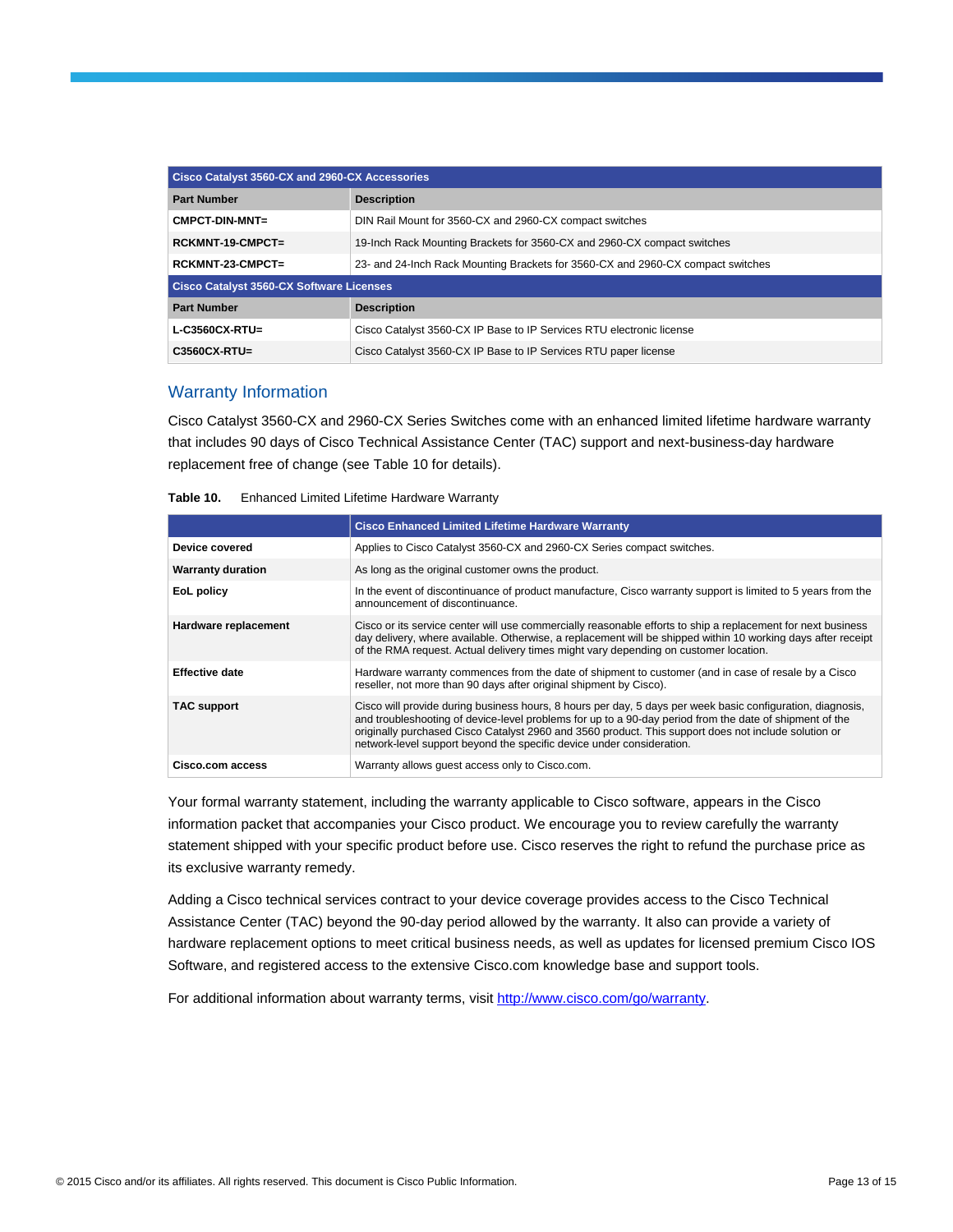| Cisco Catalyst 3560-CX and 2960-CX Accessories  |                                                                                 |  |
|-------------------------------------------------|---------------------------------------------------------------------------------|--|
| <b>Part Number</b>                              | <b>Description</b>                                                              |  |
| $CMPCT-DIN-MNT =$                               | DIN Rail Mount for 3560-CX and 2960-CX compact switches                         |  |
| $RCKMNT-19-CMPCT =$                             | 19-Inch Rack Mounting Brackets for 3560-CX and 2960-CX compact switches         |  |
| RCKMNT-23-CMPCT=                                | 23- and 24-lnch Rack Mounting Brackets for 3560-CX and 2960-CX compact switches |  |
| <b>Cisco Catalyst 3560-CX Software Licenses</b> |                                                                                 |  |
| <b>Part Number</b>                              | <b>Description</b>                                                              |  |
| $L-C3560CX-RTU=$                                | Cisco Catalyst 3560-CX IP Base to IP Services RTU electronic license            |  |
| $C3560CX-RTU=$                                  | Cisco Catalyst 3560-CX IP Base to IP Services RTU paper license                 |  |

### Warranty Information

Cisco Catalyst 3560-CX and 2960-CX Series Switches come with an enhanced limited lifetime hardware warranty that includes 90 days of Cisco Technical Assistance Center (TAC) support and next-business-day hardware replacement free of change (see Table 10 for details).

| Table 10. |  |  | Enhanced Limited Lifetime Hardware Warranty |
|-----------|--|--|---------------------------------------------|
|-----------|--|--|---------------------------------------------|

|                          | <b>Cisco Enhanced Limited Lifetime Hardware Warranty</b>                                                                                                                                                                                                                                                                                                                                               |
|--------------------------|--------------------------------------------------------------------------------------------------------------------------------------------------------------------------------------------------------------------------------------------------------------------------------------------------------------------------------------------------------------------------------------------------------|
| Device covered           | Applies to Cisco Catalyst 3560-CX and 2960-CX Series compact switches.                                                                                                                                                                                                                                                                                                                                 |
| <b>Warranty duration</b> | As long as the original customer owns the product.                                                                                                                                                                                                                                                                                                                                                     |
| EoL policy               | In the event of discontinuance of product manufacture, Cisco warranty support is limited to 5 years from the<br>announcement of discontinuance.                                                                                                                                                                                                                                                        |
| Hardware replacement     | Cisco or its service center will use commercially reasonable efforts to ship a replacement for next business<br>day delivery, where available. Otherwise, a replacement will be shipped within 10 working days after receipt<br>of the RMA request. Actual delivery times might vary depending on customer location.                                                                                   |
| <b>Effective date</b>    | Hardware warranty commences from the date of shipment to customer (and in case of resale by a Cisco<br>reseller, not more than 90 days after original shipment by Cisco).                                                                                                                                                                                                                              |
| <b>TAC support</b>       | Cisco will provide during business hours, 8 hours per day, 5 days per week basic configuration, diagnosis,<br>and troubleshooting of device-level problems for up to a 90-day period from the date of shipment of the<br>originally purchased Cisco Catalyst 2960 and 3560 product. This support does not include solution or<br>network-level support beyond the specific device under consideration. |
| Cisco.com access         | Warranty allows quest access only to Cisco.com.                                                                                                                                                                                                                                                                                                                                                        |

Your formal warranty statement, including the warranty applicable to Cisco software, appears in the Cisco information packet that accompanies your Cisco product. We encourage you to review carefully the warranty statement shipped with your specific product before use. Cisco reserves the right to refund the purchase price as its exclusive warranty remedy.

Adding a Cisco technical services contract to your device coverage provides access to the Cisco Technical Assistance Center (TAC) beyond the 90-day period allowed by the warranty. It also can provide a variety of hardware replacement options to meet critical business needs, as well as updates for licensed premium Cisco IOS Software, and registered access to the extensive Cisco.com knowledge base and support tools.

For additional information about warranty terms, visi[t http://www.cisco.com/go/warranty.](http://www.cisco.com/go/warranty)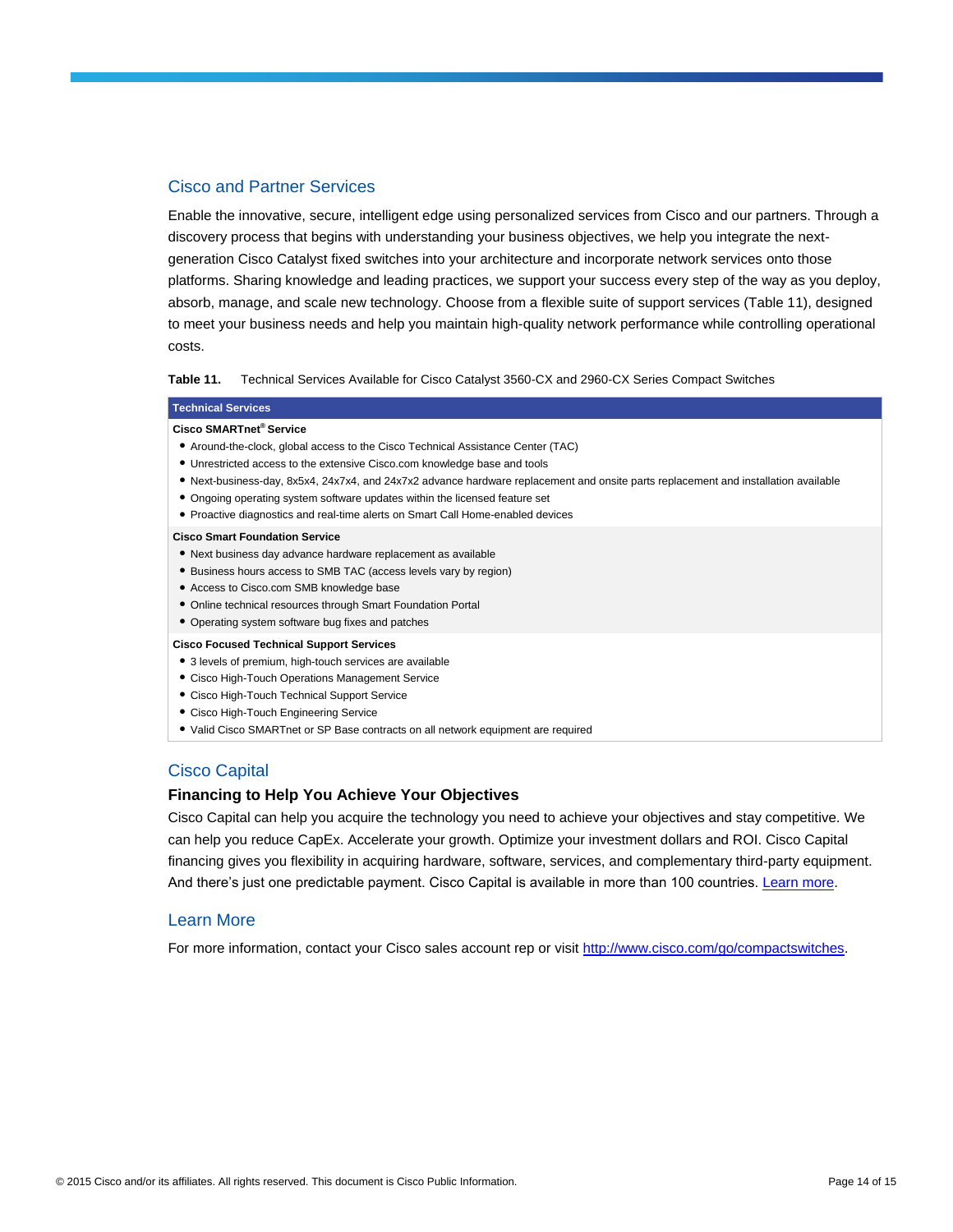#### Cisco and Partner Services

Enable the innovative, secure, intelligent edge using personalized services from Cisco and our partners. Through a discovery process that begins with understanding your business objectives, we help you integrate the nextgeneration Cisco Catalyst fixed switches into your architecture and incorporate network services onto those platforms. Sharing knowledge and leading practices, we support your success every step of the way as you deploy, absorb, manage, and scale new technology. Choose from a flexible suite of support services (Table 11), designed to meet your business needs and help you maintain high-quality network performance while controlling operational costs.

**Table 11.** Technical Services Available for Cisco Catalyst 3560-CX and 2960-CX Series Compact Switches

#### **Technical Services**

#### **Cisco SMARTnet® Service**

- Around-the-clock, global access to the Cisco Technical Assistance Center (TAC)
- Unrestricted access to the extensive Cisco.com knowledge base and tools
- Next-business-day, 8x5x4, 24x7x4, and 24x7x2 advance hardware replacement and onsite parts replacement and installation available
- Ongoing operating system software updates within the licensed feature set
- Proactive diagnostics and real-time alerts on Smart Call Home-enabled devices

#### **Cisco Smart Foundation Service**

- Next business day advance hardware replacement as available
- Business hours access to SMB TAC (access levels vary by region)
- Access to Cisco.com SMB knowledge base
- Online technical resources through Smart Foundation Portal
- Operating system software bug fixes and patches

#### **Cisco Focused Technical Support Services**

- 3 levels of premium, high-touch services are available
- Cisco High-Touch Operations Management Service
- Cisco High-Touch Technical Support Service
- Cisco High-Touch Engineering Service
- Valid Cisco SMARTnet or SP Base contracts on all network equipment are required

### Cisco Capital

#### **Financing to Help You Achieve Your Objectives**

Cisco Capital can help you acquire the technology you need to achieve your objectives and stay competitive. We can help you reduce CapEx. Accelerate your growth. Optimize your investment dollars and ROI. Cisco Capital financing gives you flexibility in acquiring hardware, software, services, and complementary third-party equipment. And there's just one predictable payment. Cisco Capital is available in more than 100 countries. [Learn more.](http://www.cisco.com/web/ciscocapital/americas/us/index.html)

#### Learn More

For more information, contact your Cisco sales account rep or visi[t http://www.cisco.com/go/compactswitches.](http://www.cisco.com/go/compactswitches)